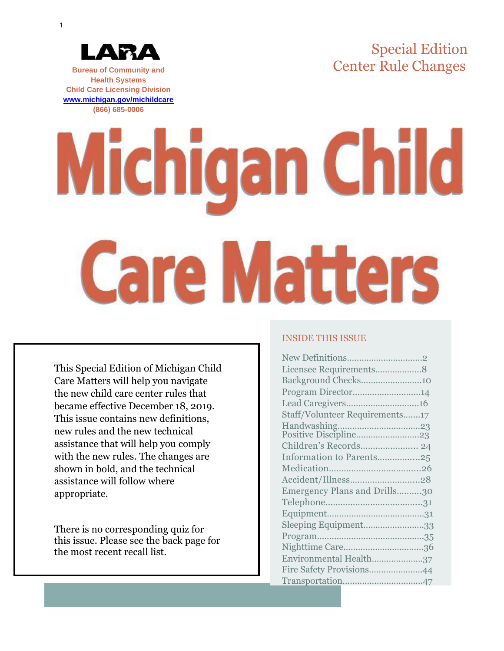Special Edition Center Rule Changes



**Bureau of Community and Health Systems Child Care Licensing Division [www.michigan.gov/michildcare](http://www.michigan.gov/michildcare) (866) 685-0006**

# **Michigan Child Care Matters**

This Special Edition of Michigan Child Care Matters will help you navigate the new child care center rules that became effective December 18, 2019. This issue contains new definitions, new rules and the new technical assistance that will help you comply with the new rules. The changes are shown in bold, and the technical assistance will follow where appropriate.

There is no corresponding quiz for this issue. Please see the back page for the most recent recall list.

### INSIDE THIS ISSUE

| New Definitions2               |  |
|--------------------------------|--|
| Licensee Requirements8         |  |
| Background Checks10            |  |
| Program Director14             |  |
| Lead Caregivers16              |  |
| Staff/Volunteer Requirements17 |  |
|                                |  |
|                                |  |
| Children's Records 24          |  |
| Information to Parents25       |  |
|                                |  |
| Accident/Illness28             |  |
| Emergency Plans and Drills30   |  |
|                                |  |
|                                |  |
| Sleeping Equipment33           |  |
|                                |  |
|                                |  |
| Environmental Health37         |  |
| Fire Safety Provisions44       |  |
|                                |  |
|                                |  |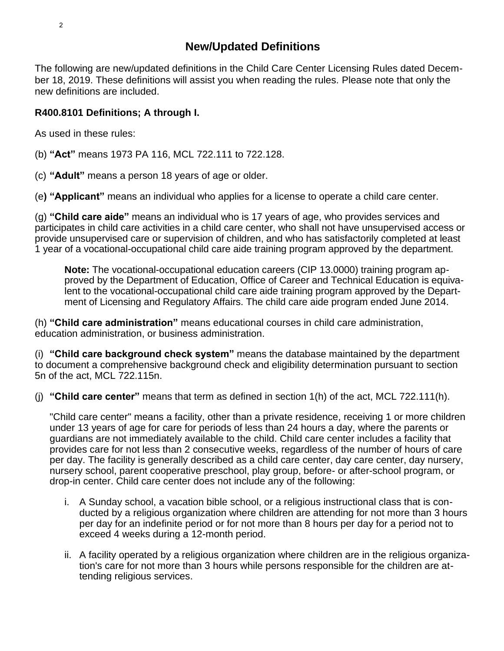The following are new/updated definitions in the Child Care Center Licensing Rules dated December 18, 2019. These definitions will assist you when reading the rules. Please note that only the new definitions are included.

# **R400.8101 Definitions; A through I.**

As used in these rules:

(b) **"Act"** means 1973 PA 116, MCL 722.111 to 722.128.

(c) **"Adult"** means a person 18 years of age or older.

(e**) "Applicant"** means an individual who applies for a license to operate a child care center.

(g) **"Child care aide"** means an individual who is 17 years of age, who provides services and participates in child care activities in a child care center, who shall not have unsupervised access or provide unsupervised care or supervision of children, and who has satisfactorily completed at least 1 year of a vocational-occupational child care aide training program approved by the department.

**Note:** The vocational-occupational education careers (CIP 13.0000) training program approved by the Department of Education, Office of Career and Technical Education is equivalent to the vocational-occupational child care aide training program approved by the Department of Licensing and Regulatory Affairs. The child care aide program ended June 2014.

(h) **"Child care administration"** means educational courses in child care administration, education administration, or business administration.

(i) **"Child care background check system"** means the database maintained by the department to document a comprehensive background check and eligibility determination pursuant to section 5n of the act, MCL 722.115n.

(j) **"Child care center"** means that term as defined in section 1(h) of the act, MCL 722.111(h).

"Child care center" means a facility, other than a private residence, receiving 1 or more children under 13 years of age for care for periods of less than 24 hours a day, where the parents or guardians are not immediately available to the child. Child care center includes a facility that provides care for not less than 2 consecutive weeks, regardless of the number of hours of care per day. The facility is generally described as a child care center, day care center, day nursery, nursery school, parent cooperative preschool, play group, before- or after-school program, or drop-in center. Child care center does not include any of the following:

- i. A Sunday school, a vacation bible school, or a religious instructional class that is conducted by a religious organization where children are attending for not more than 3 hours per day for an indefinite period or for not more than 8 hours per day for a period not to exceed 4 weeks during a 12-month period.
- ii. A facility operated by a religious organization where children are in the religious organization's care for not more than 3 hours while persons responsible for the children are attending religious services.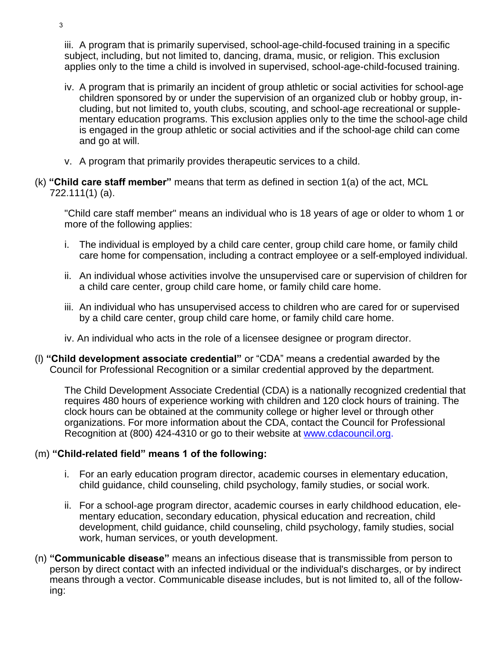iii. A program that is primarily supervised, school-age-child-focused training in a specific subject, including, but not limited to, dancing, drama, music, or religion. This exclusion applies only to the time a child is involved in supervised, school-age-child-focused training.

- iv. A program that is primarily an incident of group athletic or social activities for school-age children sponsored by or under the supervision of an organized club or hobby group, including, but not limited to, youth clubs, scouting, and school-age recreational or supplementary education programs. This exclusion applies only to the time the school-age child is engaged in the group athletic or social activities and if the school-age child can come and go at will.
- v. A program that primarily provides therapeutic services to a child.
- (k) **"Child care staff member"** means that term as defined in section 1(a) of the act, MCL 722.111(1) (a).

"Child care staff member" means an individual who is 18 years of age or older to whom 1 or more of the following applies:

- i. The individual is employed by a child care center, group child care home, or family child care home for compensation, including a contract employee or a self-employed individual.
- ii. An individual whose activities involve the unsupervised care or supervision of children for a child care center, group child care home, or family child care home.
- iii. An individual who has unsupervised access to children who are cared for or supervised by a child care center, group child care home, or family child care home.
- iv. An individual who acts in the role of a licensee designee or program director.
- (l) **"Child development associate credential"** or "CDA" means a credential awarded by the Council for Professional Recognition or a similar credential approved by the department.

The Child Development Associate Credential (CDA) is a nationally recognized credential that requires 480 hours of experience working with children and 120 clock hours of training. The clock hours can be obtained at the community college or higher level or through other organizations. For more information about the CDA, contact the Council for Professional Recognition at (800) 424-4310 or go to their website at [www.cdacouncil.org.](http://www.cdacouncil.org/)

### (m) **"Child-related field" means 1 of the following:**

- i. For an early education program director, academic courses in elementary education, child guidance, child counseling, child psychology, family studies, or social work.
- ii. For a school-age program director, academic courses in early childhood education, elementary education, secondary education, physical education and recreation, child development, child guidance, child counseling, child psychology, family studies, social work, human services, or youth development.
- (n) **"Communicable disease"** means an infectious disease that is transmissible from person to person by direct contact with an infected individual or the individual's discharges, or by indirect means through a vector. Communicable disease includes, but is not limited to, all of the following: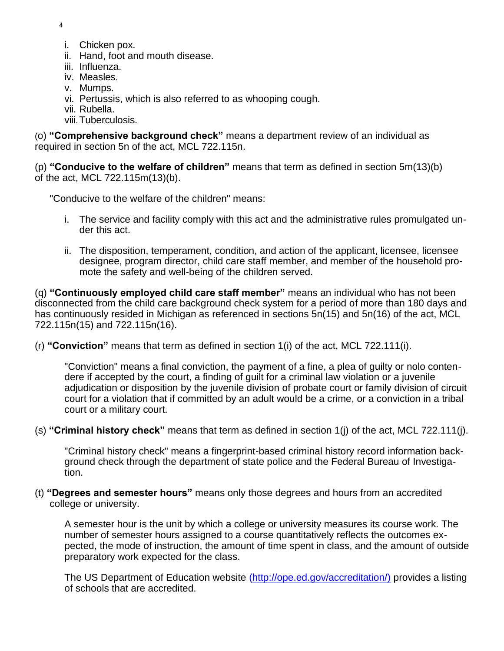4

- i. Chicken pox.
- ii. Hand, foot and mouth disease.
- iii. Influenza.
- iv. Measles.
- v. Mumps.
- vi. Pertussis, which is also referred to as whooping cough.
- vii. Rubella.
- viii.Tuberculosis.

(o) **"Comprehensive background check"** means a department review of an individual as required in section 5n of the act, MCL 722.115n.

(p) **"Conducive to the welfare of children"** means that term as defined in section 5m(13)(b) of the act, MCL 722.115m(13)(b).

"Conducive to the welfare of the children" means:

- i. The service and facility comply with this act and the administrative rules promulgated under this act.
- ii. The disposition, temperament, condition, and action of the applicant, licensee, licensee designee, program director, child care staff member, and member of the household promote the safety and well-being of the children served.

(q) **"Continuously employed child care staff member"** means an individual who has not been disconnected from the child care background check system for a period of more than 180 days and has continuously resided in Michigan as referenced in sections 5n(15) and 5n(16) of the act, MCL 722.115n(15) and 722.115n(16).

(r) **"Conviction"** means that term as defined in section 1(i) of the act, MCL 722.111(i).

"Conviction" means a final conviction, the payment of a fine, a plea of guilty or nolo contendere if accepted by the court, a finding of guilt for a criminal law violation or a juvenile adjudication or disposition by the juvenile division of probate court or family division of circuit court for a violation that if committed by an adult would be a crime, or a conviction in a tribal court or a military court.

(s) **"Criminal history check"** means that term as defined in section 1(j) of the act, MCL 722.111(j).

"Criminal history check" means a fingerprint-based criminal history record information background check through the department of state police and the Federal Bureau of Investigation.

(t) **"Degrees and semester hours"** means only those degrees and hours from an accredited college or university.

A semester hour is the unit by which a college or university measures its course work. The number of semester hours assigned to a course quantitatively reflects the outcomes expected, the mode of instruction, the amount of time spent in class, and the amount of outside preparatory work expected for the class.

The US Department of Education website [\(http://ope.ed.gov/accreditation/\)](http://ope.ed.gov/accreditation/)) provides a listing of schools that are accredited.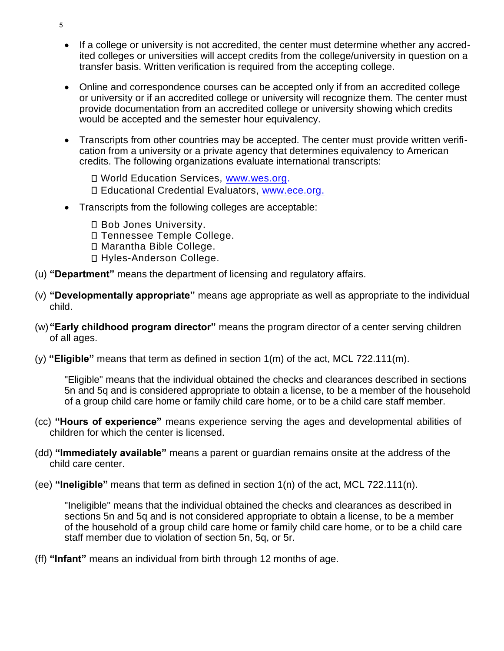- If a college or university is not accredited, the center must determine whether any accredited colleges or universities will accept credits from the college/university in question on a transfer basis. Written verification is required from the accepting college.
- Online and correspondence courses can be accepted only if from an accredited college or university or if an accredited college or university will recognize them. The center must provide documentation from an accredited college or university showing which credits would be accepted and the semester hour equivalency.
- Transcripts from other countries may be accepted. The center must provide written verification from a university or a private agency that determines equivalency to American credits. The following organizations evaluate international transcripts:
	- □ World Education Services, [www.wes.org.](http://www.wes.org/) Educational Credential Evaluators, [www.ece.org.](http://www.ece.org/)
- Transcripts from the following colleges are acceptable:
	- □ Bob Jones University.
	- Tennessee Temple College.
	- Marantha Bible College.
	- Hyles-Anderson College.
- (u) **"Department"** means the department of licensing and regulatory affairs.
- (v) **"Developmentally appropriate"** means age appropriate as well as appropriate to the individual child.
- (w)**"Early childhood program director"** means the program director of a center serving children of all ages.
- (y) **"Eligible"** means that term as defined in section 1(m) of the act, MCL 722.111(m).

"Eligible" means that the individual obtained the checks and clearances described in sections 5n and 5q and is considered appropriate to obtain a license, to be a member of the household of a group child care home or family child care home, or to be a child care staff member.

- (cc) **"Hours of experience"** means experience serving the ages and developmental abilities of children for which the center is licensed.
- (dd) **"Immediately available"** means a parent or guardian remains onsite at the address of the child care center.
- (ee) **"Ineligible"** means that term as defined in section 1(n) of the act, MCL 722.111(n).

"Ineligible" means that the individual obtained the checks and clearances as described in sections 5n and 5q and is not considered appropriate to obtain a license, to be a member of the household of a group child care home or family child care home, or to be a child care staff member due to violation of section 5n, 5q, or 5r.

(ff) **"Infant"** means an individual from birth through 12 months of age.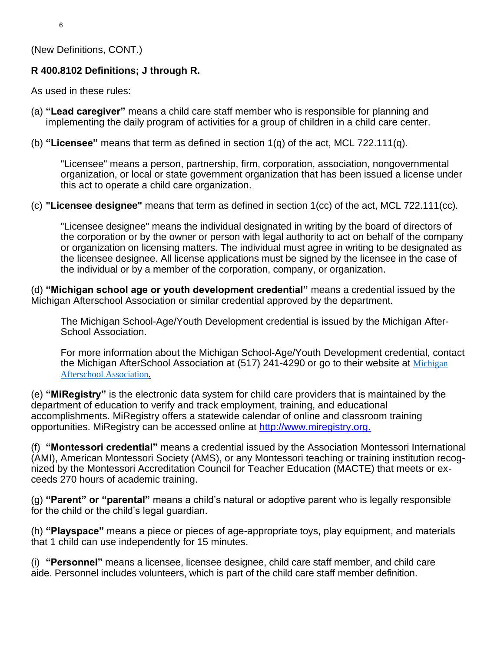(New Definitions, CONT.)

# **R 400.8102 Definitions; J through R.**

As used in these rules:

- (a) **"Lead caregiver"** means a child care staff member who is responsible for planning and implementing the daily program of activities for a group of children in a child care center.
- (b) **"Licensee"** means that term as defined in section 1(q) of the act, MCL 722.111(q).

"Licensee" means a person, partnership, firm, corporation, association, nongovernmental organization, or local or state government organization that has been issued a license under this act to operate a child care organization.

(c) **"Licensee designee"** means that term as defined in section 1(cc) of the act, MCL 722.111(cc).

"Licensee designee" means the individual designated in writing by the board of directors of the corporation or by the owner or person with legal authority to act on behalf of the company or organization on licensing matters. The individual must agree in writing to be designated as the licensee designee. All license applications must be signed by the licensee in the case of the individual or by a member of the corporation, company, or organization.

(d) **"Michigan school age or youth development credential"** means a credential issued by the Michigan Afterschool Association or similar credential approved by the department.

The Michigan School-Age/Youth Development credential is issued by the Michigan After-School Association.

For more information about the Michigan School-Age/Youth Development credential, contact the [Michigan](https://gcc02.safelinks.protection.outlook.com/?url=https%3A%2F%2Fmiafterschoolassociation.org%2F&data=04%7C01%7CSharkeyj%40michigan.gov%7Cdad6e884fc6b429d9b8d08d8c144190d%7Cd5fb7087377742ad966a892ef47225d1%7C0%7C0%7C637471845500686954%7CUnknown%7CTWFpbGZsb3d8eyJWIjoiMC4wLjAwMDAiLCJQIjoiV2luMzIiLCJBTiI6Ik1haWwiLCJXVCI6Mn0%3D%7C1000&sdata=wcQQLF%2BaUDLmnK2aQclfdWTD3yXq32cKmkZnFAVH7EQ%3D&reserved=0) AfterSchool Association at (517) 241-4290 or go to their website at Michigan [Afterschool Association.](https://gcc02.safelinks.protection.outlook.com/?url=https%3A%2F%2Fmiafterschoolassociation.org%2F&data=04%7C01%7CSharkeyj%40michigan.gov%7Cdad6e884fc6b429d9b8d08d8c144190d%7Cd5fb7087377742ad966a892ef47225d1%7C0%7C0%7C637471845500686954%7CUnknown%7CTWFpbGZsb3d8eyJWIjoiMC4wLjAwMDAiLCJQIjoiV2luMzIiLCJBTiI6Ik1haWwiLCJXVCI6Mn0%3D%7C1000&sdata=wcQQLF%2BaUDLmnK2aQclfdWTD3yXq32cKmkZnFAVH7EQ%3D&reserved=0)

(e) **"MiRegistry"** is the electronic data system for child care providers that is maintained by the department of education to verify and track employment, training, and educational accomplishments. MiRegistry offers a statewide calendar of online and classroom training opportunities. MiRegistry can be accessed online at [http://www.miregistry.org.](http://www.miregistry.org/)

(f) **"Montessori credential"** means a credential issued by the Association Montessori International (AMI), American Montessori Society (AMS), or any Montessori teaching or training institution recognized by the Montessori Accreditation Council for Teacher Education (MACTE) that meets or exceeds 270 hours of academic training.

(g) **"Parent" or "parental"** means a child's natural or adoptive parent who is legally responsible for the child or the child's legal guardian.

(h) **"Playspace"** means a piece or pieces of age-appropriate toys, play equipment, and materials that 1 child can use independently for 15 minutes.

(i) **"Personnel"** means a licensee, licensee designee, child care staff member, and child care aide. Personnel includes volunteers, which is part of the child care staff member definition.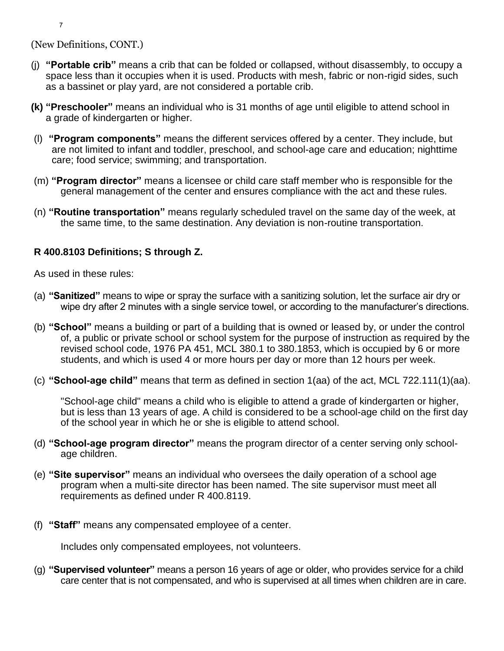(New Definitions, CONT.)

- (j) **"Portable crib"** means a crib that can be folded or collapsed, without disassembly, to occupy a space less than it occupies when it is used. Products with mesh, fabric or non-rigid sides, such as a bassinet or play yard, are not considered a portable crib.
- **(k) "Preschooler"** means an individual who is 31 months of age until eligible to attend school in a grade of kindergarten or higher.
- (l) **"Program components"** means the different services offered by a center. They include, but are not limited to infant and toddler, preschool, and school-age care and education; nighttime care; food service; swimming; and transportation.
- (m) **"Program director"** means a licensee or child care staff member who is responsible for the general management of the center and ensures compliance with the act and these rules.
- (n) **"Routine transportation"** means regularly scheduled travel on the same day of the week, at the same time, to the same destination. Any deviation is non-routine transportation.

# **R 400.8103 Definitions; S through Z.**

As used in these rules:

- (a) **"Sanitized"** means to wipe or spray the surface with a sanitizing solution, let the surface air dry or wipe dry after 2 minutes with a single service towel, or according to the manufacturer's directions.
- (b) **"School"** means a building or part of a building that is owned or leased by, or under the control of, a public or private school or school system for the purpose of instruction as required by the revised school code, 1976 PA 451, MCL 380.1 to 380.1853, which is occupied by 6 or more students, and which is used 4 or more hours per day or more than 12 hours per week.
- (c) **"School-age child"** means that term as defined in section 1(aa) of the act, MCL 722.111(1)(aa).

"School-age child" means a child who is eligible to attend a grade of kindergarten or higher, but is less than 13 years of age. A child is considered to be a school-age child on the first day of the school year in which he or she is eligible to attend school.

- (d) **"School-age program director"** means the program director of a center serving only schoolage children.
- (e) **"Site supervisor"** means an individual who oversees the daily operation of a school age program when a multi-site director has been named. The site supervisor must meet all requirements as defined under R 400.8119.
- (f) **"Staff"** means any compensated employee of a center.

Includes only compensated employees, not volunteers.

(g) **"Supervised volunteer"** means a person 16 years of age or older, who provides service for a child care center that is not compensated, and who is supervised at all times when children are in care.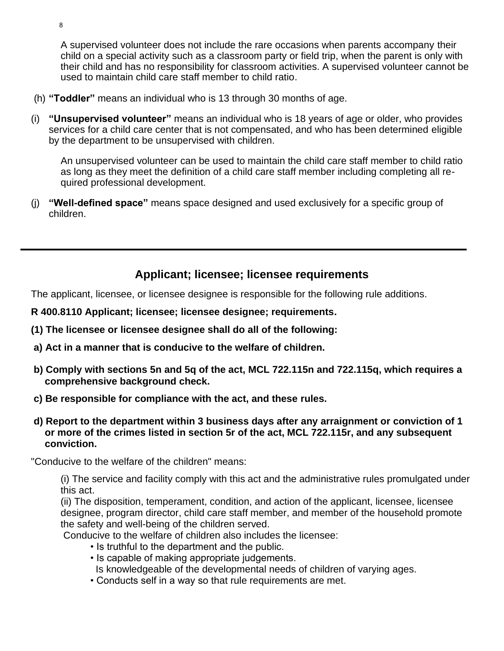A supervised volunteer does not include the rare occasions when parents accompany their child on a special activity such as a classroom party or field trip, when the parent is only with their child and has no responsibility for classroom activities. A supervised volunteer cannot be used to maintain child care staff member to child ratio.

- (h) **"Toddler"** means an individual who is 13 through 30 months of age.
- (i) **"Unsupervised volunteer"** means an individual who is 18 years of age or older, who provides services for a child care center that is not compensated, and who has been determined eligible by the department to be unsupervised with children.

An unsupervised volunteer can be used to maintain the child care staff member to child ratio as long as they meet the definition of a child care staff member including completing all required professional development.

(j) **"Well-defined space"** means space designed and used exclusively for a specific group of children.

# **Applicant; licensee; licensee requirements**

The applicant, licensee, or licensee designee is responsible for the following rule additions.

**R 400.8110 Applicant; licensee; licensee designee; requirements.**

- **(1) The licensee or licensee designee shall do all of the following:**
- **a) Act in a manner that is conducive to the welfare of children.**
- **b) Comply with sections 5n and 5q of the act, MCL 722.115n and 722.115q, which requires a comprehensive background check.**
- **c) Be responsible for compliance with the act, and these rules.**
- **d) Report to the department within 3 business days after any arraignment or conviction of 1 or more of the crimes listed in section 5r of the act, MCL 722.115r, and any subsequent conviction.**

"Conducive to the welfare of the children" means:

(i) The service and facility comply with this act and the administrative rules promulgated under this act.

(ii) The disposition, temperament, condition, and action of the applicant, licensee, licensee designee, program director, child care staff member, and member of the household promote the safety and well-being of the children served.

Conducive to the welfare of children also includes the licensee:

- Is truthful to the department and the public.
- Is capable of making appropriate judgements.
- Is knowledgeable of the developmental needs of children of varying ages.
- Conducts self in a way so that rule requirements are met.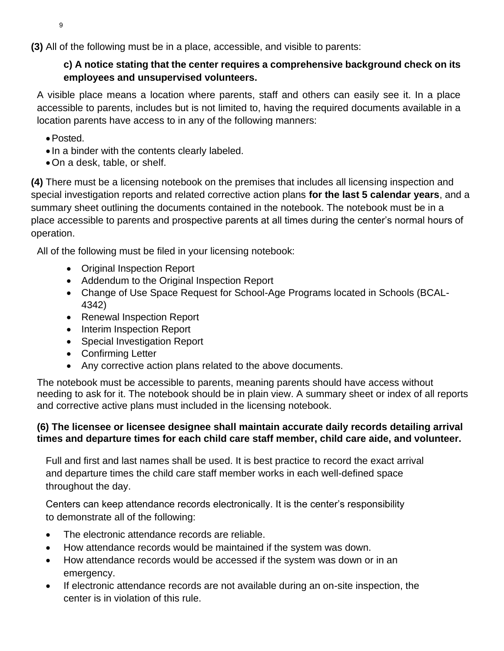**(3)** All of the following must be in a place, accessible, and visible to parents:

# **c) A notice stating that the center requires a comprehensive background check on its employees and unsupervised volunteers.**

A visible place means a location where parents, staff and others can easily see it. In a place accessible to parents, includes but is not limited to, having the required documents available in a location parents have access to in any of the following manners:

- •Posted.
- In a binder with the contents clearly labeled.
- •On a desk, table, or shelf.

**(4)** There must be a licensing notebook on the premises that includes all licensing inspection and special investigation reports and related corrective action plans **for the last 5 calendar years**, and a summary sheet outlining the documents contained in the notebook. The notebook must be in a place accessible to parents and prospective parents at all times during the center's normal hours of operation.

All of the following must be filed in your licensing notebook:

- Original Inspection Report
- Addendum to the Original Inspection Report
- Change of Use Space Request for School-Age Programs located in Schools (BCAL-4342)
- Renewal Inspection Report
- Interim Inspection Report
- Special Investigation Report
- Confirming Letter
- Any corrective action plans related to the above documents.

The notebook must be accessible to parents, meaning parents should have access without needing to ask for it. The notebook should be in plain view. A summary sheet or index of all reports and corrective active plans must included in the licensing notebook.

### **(6) The licensee or licensee designee shall maintain accurate daily records detailing arrival times and departure times for each child care staff member, child care aide, and volunteer.**

Full and first and last names shall be used. It is best practice to record the exact arrival and departure times the child care staff member works in each well-defined space throughout the day.

Centers can keep attendance records electronically. It is the center's responsibility to demonstrate all of the following:

- The electronic attendance records are reliable.
- How attendance records would be maintained if the system was down.
- How attendance records would be accessed if the system was down or in an emergency.
- If electronic attendance records are not available during an on-site inspection, the center is in violation of this rule.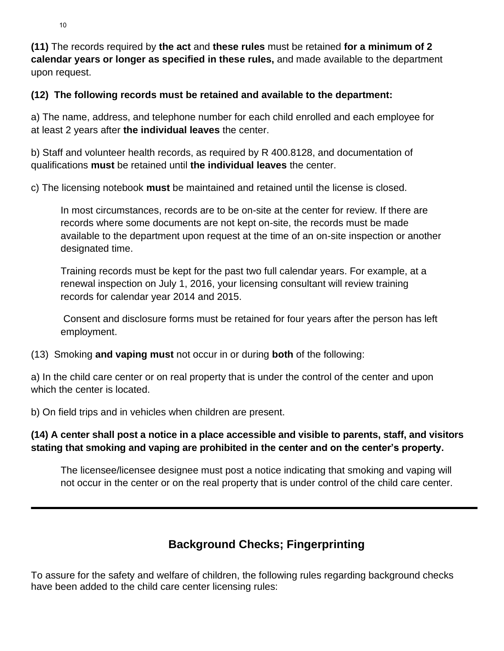**(11)** The records required by **the act** and **these rules** must be retained **for a minimum of 2 calendar years or longer as specified in these rules,** and made available to the department upon request.

### **(12) The following records must be retained and available to the department:**

a) The name, address, and telephone number for each child enrolled and each employee for at least 2 years after **the individual leaves** the center.

b) Staff and volunteer health records, as required by R 400.8128, and documentation of qualifications **must** be retained until **the individual leaves** the center.

c) The licensing notebook **must** be maintained and retained until the license is closed.

In most circumstances, records are to be on-site at the center for review. If there are records where some documents are not kept on-site, the records must be made available to the department upon request at the time of an on-site inspection or another designated time.

Training records must be kept for the past two full calendar years. For example, at a renewal inspection on July 1, 2016, your licensing consultant will review training records for calendar year 2014 and 2015.

Consent and disclosure forms must be retained for four years after the person has left employment.

(13) Smoking **and vaping must** not occur in or during **both** of the following:

a) In the child care center or on real property that is under the control of the center and upon which the center is located.

b) On field trips and in vehicles when children are present.

# **(14) A center shall post a notice in a place accessible and visible to parents, staff, and visitors stating that smoking and vaping are prohibited in the center and on the center's property.**

The licensee/licensee designee must post a notice indicating that smoking and vaping will not occur in the center or on the real property that is under control of the child care center.

# **Background Checks; Fingerprinting**

To assure for the safety and welfare of children, the following rules regarding background checks have been added to the child care center licensing rules: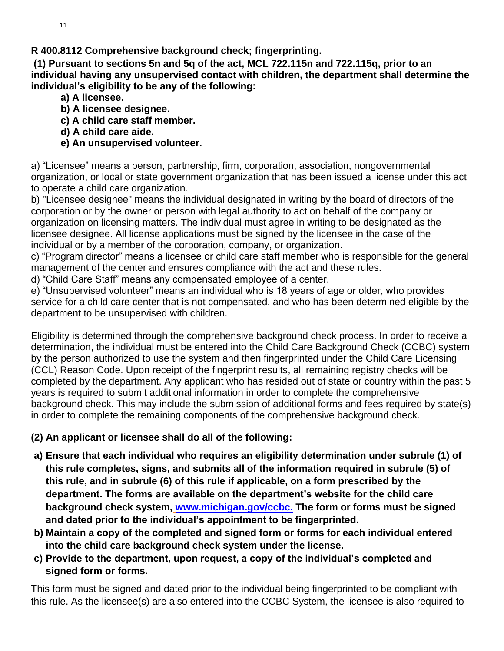**R 400.8112 Comprehensive background check; fingerprinting.** 

**(1) Pursuant to sections 5n and 5q of the act, MCL 722.115n and 722.115q, prior to an individual having any unsupervised contact with children, the department shall determine the individual's eligibility to be any of the following:** 

- **a) A licensee.**
- **b) A licensee designee.**
- **c) A child care staff member.**
- **d) A child care aide.**

# **e) An unsupervised volunteer.**

a) "Licensee" means a person, partnership, firm, corporation, association, nongovernmental organization, or local or state government organization that has been issued a license under this act to operate a child care organization.

b) "Licensee designee" means the individual designated in writing by the board of directors of the corporation or by the owner or person with legal authority to act on behalf of the company or organization on licensing matters. The individual must agree in writing to be designated as the licensee designee. All license applications must be signed by the licensee in the case of the individual or by a member of the corporation, company, or organization.

c) "Program director" means a licensee or child care staff member who is responsible for the general management of the center and ensures compliance with the act and these rules.

d) "Child Care Staff" means any compensated employee of a center.

e) "Unsupervised volunteer" means an individual who is 18 years of age or older, who provides service for a child care center that is not compensated, and who has been determined eligible by the department to be unsupervised with children.

Eligibility is determined through the comprehensive background check process. In order to receive a determination, the individual must be entered into the Child Care Background Check (CCBC) system by the person authorized to use the system and then fingerprinted under the Child Care Licensing (CCL) Reason Code. Upon receipt of the fingerprint results, all remaining registry checks will be completed by the department. Any applicant who has resided out of state or country within the past 5 years is required to submit additional information in order to complete the comprehensive background check. This may include the submission of additional forms and fees required by state(s) in order to complete the remaining components of the comprehensive background check.

# **(2) An applicant or licensee shall do all of the following:**

- **a) Ensure that each individual who requires an eligibility determination under subrule (1) of this rule completes, signs, and submits all of the information required in subrule (5) of this rule, and in subrule (6) of this rule if applicable, on a form prescribed by the department. The forms are available on the department's website for the child care background check system, [www.michigan.gov/ccbc.](file:///C:/Users/riebels/Desktop/MCCM%20Centers%20New%20rules/www.michigan.gov/ccbc) The form or forms must be signed and dated prior to the individual's appointment to be fingerprinted.**
- **b) Maintain a copy of the completed and signed form or forms for each individual entered into the child care background check system under the license.**
- **c) Provide to the department, upon request, a copy of the individual's completed and signed form or forms.**

This form must be signed and dated prior to the individual being fingerprinted to be compliant with this rule. As the licensee(s) are also entered into the CCBC System, the licensee is also required to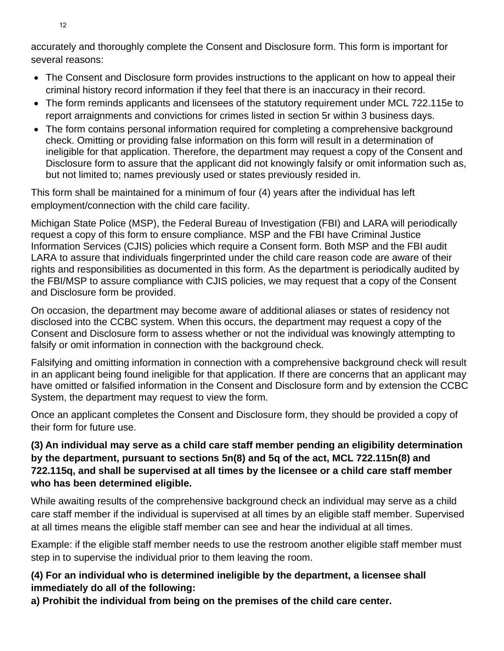accurately and thoroughly complete the Consent and Disclosure form. This form is important for several reasons:

- The Consent and Disclosure form provides instructions to the applicant on how to appeal their criminal history record information if they feel that there is an inaccuracy in their record.
- The form reminds applicants and licensees of the statutory requirement under MCL 722.115e to report arraignments and convictions for crimes listed in section 5r within 3 business days.
- The form contains personal information required for completing a comprehensive background check. Omitting or providing false information on this form will result in a determination of ineligible for that application. Therefore, the department may request a copy of the Consent and Disclosure form to assure that the applicant did not knowingly falsify or omit information such as, but not limited to; names previously used or states previously resided in.

This form shall be maintained for a minimum of four (4) years after the individual has left employment/connection with the child care facility.

Michigan State Police (MSP), the Federal Bureau of Investigation (FBI) and LARA will periodically request a copy of this form to ensure compliance. MSP and the FBI have Criminal Justice Information Services (CJIS) policies which require a Consent form. Both MSP and the FBI audit LARA to assure that individuals fingerprinted under the child care reason code are aware of their rights and responsibilities as documented in this form. As the department is periodically audited by the FBI/MSP to assure compliance with CJIS policies, we may request that a copy of the Consent and Disclosure form be provided.

On occasion, the department may become aware of additional aliases or states of residency not disclosed into the CCBC system. When this occurs, the department may request a copy of the Consent and Disclosure form to assess whether or not the individual was knowingly attempting to falsify or omit information in connection with the background check.

Falsifying and omitting information in connection with a comprehensive background check will result in an applicant being found ineligible for that application. If there are concerns that an applicant may have omitted or falsified information in the Consent and Disclosure form and by extension the CCBC System, the department may request to view the form.

Once an applicant completes the Consent and Disclosure form, they should be provided a copy of their form for future use.

# **(3) An individual may serve as a child care staff member pending an eligibility determination by the department, pursuant to sections 5n(8) and 5q of the act, MCL 722.115n(8) and 722.115q, and shall be supervised at all times by the licensee or a child care staff member who has been determined eligible.**

While awaiting results of the comprehensive background check an individual may serve as a child care staff member if the individual is supervised at all times by an eligible staff member. Supervised at all times means the eligible staff member can see and hear the individual at all times.

Example: if the eligible staff member needs to use the restroom another eligible staff member must step in to supervise the individual prior to them leaving the room.

# **(4) For an individual who is determined ineligible by the department, a licensee shall immediately do all of the following:**

**a) Prohibit the individual from being on the premises of the child care center.**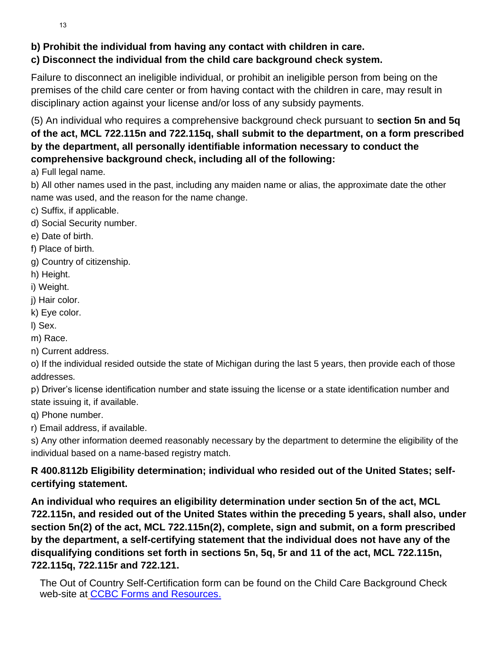13

# **b) Prohibit the individual from having any contact with children in care.**

# **c) Disconnect the individual from the child care background check system.**

Failure to disconnect an ineligible individual, or prohibit an ineligible person from being on the premises of the child care center or from having contact with the children in care, may result in disciplinary action against your license and/or loss of any subsidy payments.

(5) An individual who requires a comprehensive background check pursuant to **section 5n and 5q of the act, MCL 722.115n and 722.115q, shall submit to the department, on a form prescribed by the department, all personally identifiable information necessary to conduct the comprehensive background check, including all of the following:**

a) Full legal name.

b) All other names used in the past, including any maiden name or alias, the approximate date the other name was used, and the reason for the name change.

c) Suffix, if applicable.

- d) Social Security number.
- e) Date of birth.
- f) Place of birth.
- g) Country of citizenship.
- h) Height.
- i) Weight.
- j) Hair color.
- k) Eye color.
- l) Sex.
- m) Race.
- n) Current address.

o) If the individual resided outside the state of Michigan during the last 5 years, then provide each of those addresses.

p) Driver's license identification number and state issuing the license or a state identification number and state issuing it, if available.

q) Phone number.

r) Email address, if available.

s) Any other information deemed reasonably necessary by the department to determine the eligibility of the individual based on a name-based registry match.

# **R 400.8112b Eligibility determination; individual who resided out of the United States; selfcertifying statement.**

**An individual who requires an eligibility determination under section 5n of the act, MCL 722.115n, and resided out of the United States within the preceding 5 years, shall also, under section 5n(2) of the act, MCL 722.115n(2), complete, sign and submit, on a form prescribed by the department, a self-certifying statement that the individual does not have any of the disqualifying conditions set forth in sections 5n, 5q, 5r and 11 of the act, MCL 722.115n, 722.115q, 722.115r and 722.121.**

The Out of Country Self-Certification form can be found on the Child Care Background Check web-site at [CCBC Forms and Resources.](https://miltcpartnership.org/childcareportal/home/formsandresources)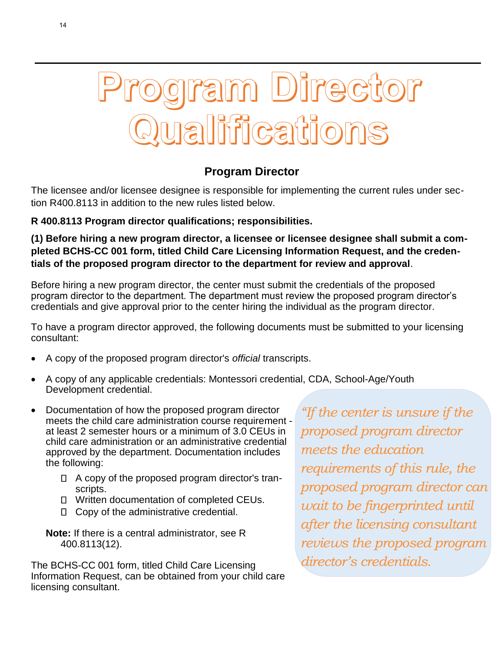

# **Program Director**

The licensee and/or licensee designee is responsible for implementing the current rules under section R400.8113 in addition to the new rules listed below.

# **R 400.8113 Program director qualifications; responsibilities.**

**(1) Before hiring a new program director, a licensee or licensee designee shall submit a completed BCHS-CC 001 form, titled Child Care Licensing Information Request, and the credentials of the proposed program director to the department for review and approval**.

Before hiring a new program director, the center must submit the credentials of the proposed program director to the department. The department must review the proposed program director's credentials and give approval prior to the center hiring the individual as the program director.

To have a program director approved, the following documents must be submitted to your licensing consultant:

- A copy of the proposed program director's *official* transcripts.
- A copy of any applicable credentials: Montessori credential, CDA, School-Age/Youth Development credential.
- Documentation of how the proposed program director meets the child care administration course requirement at least 2 semester hours or a minimum of 3.0 CEUs in child care administration or an administrative credential approved by the department. Documentation includes the following:
	- $\Box$  A copy of the proposed program director's transcripts.
	- □ Written documentation of completed CEUs.
	- □ Copy of the administrative credential.
	- **Note:** If there is a central administrator, see R 400.8113(12).

The BCHS-CC 001 form, titled Child Care Licensing Information Request, can be obtained from your child care licensing consultant.

*"If the center is unsure if the proposed program director meets the education requirements of this rule, the proposed program director can wait to be fingerprinted until after the licensing consultant reviews the proposed program director's credentials.*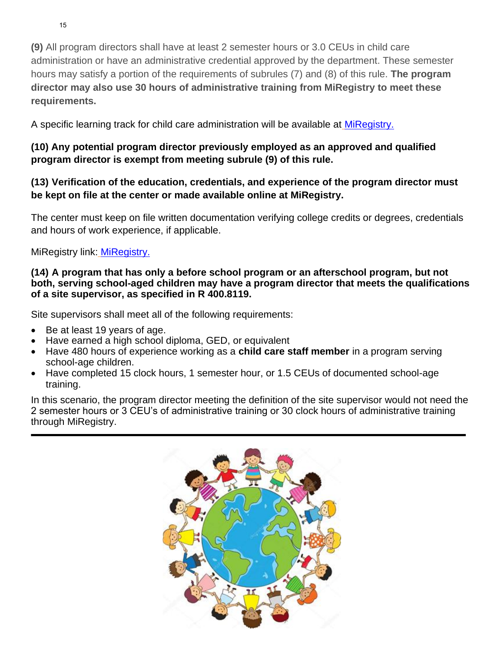**(9)** All program directors shall have at least 2 semester hours or 3.0 CEUs in child care administration or have an administrative credential approved by the department. These semester hours may satisfy a portion of the requirements of subrules (7) and (8) of this rule. **The program director may also use 30 hours of administrative training from MiRegistry to meet these requirements.**

A specific learning track for child care administration will be available at [MiRegistry.](http://www.miregistry.org/)

# **(10) Any potential program director previously employed as an approved and qualified program director is exempt from meeting subrule (9) of this rule.**

# **(13) Verification of the education, credentials, and experience of the program director must be kept on file at the center or made available online at MiRegistry.**

The center must keep on file written documentation verifying college credits or degrees, credentials and hours of work experience, if applicable.

MiRegistry link: **[MiRegistry.](http://www.miregistry.org/)** 

### **(14) A program that has only a before school program or an afterschool program, but not both, serving school-aged children may have a program director that meets the qualifications of a site supervisor, as specified in R 400.8119.**

Site supervisors shall meet all of the following requirements:

- Be at least 19 years of age.
- Have earned a high school diploma, GED, or equivalent
- Have 480 hours of experience working as a **child care staff member** in a program serving school-age children.
- Have completed 15 clock hours, 1 semester hour, or 1.5 CEUs of documented school-age training.

In this scenario, the program director meeting the definition of the site supervisor would not need the 2 semester hours or 3 CEU's of administrative training or 30 clock hours of administrative training through MiRegistry.

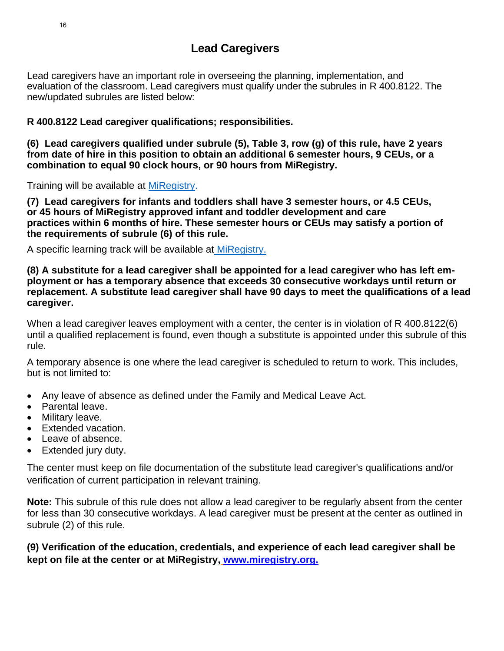Lead caregivers have an important role in overseeing the planning, implementation, and evaluation of the classroom. Lead caregivers must qualify under the subrules in R 400.8122. The new/updated subrules are listed below:

**R 400.8122 Lead caregiver qualifications; responsibilities.** 

**(6) Lead caregivers qualified under subrule (5), Table 3, row (g) of this rule, have 2 years from date of hire in this position to obtain an additional 6 semester hours, 9 CEUs, or a combination to equal 90 clock hours, or 90 hours from MiRegistry.**

Training will be available at [MiRegistry.](http://www.miregistry.org/)

**(7) Lead caregivers for infants and toddlers shall have 3 semester hours, or 4.5 CEUs, or 45 hours of MiRegistry approved infant and toddler development and care practices within 6 months of hire. These semester hours or CEUs may satisfy a portion of the requirements of subrule (6) of this rule.**

A specific learning track will be available at [MiRegistry.](http://www.miregistry.org/)

**(8) A substitute for a lead caregiver shall be appointed for a lead caregiver who has left employment or has a temporary absence that exceeds 30 consecutive workdays until return or replacement. A substitute lead caregiver shall have 90 days to meet the qualifications of a lead caregiver.**

When a lead caregiver leaves employment with a center, the center is in violation of R 400.8122(6) until a qualified replacement is found, even though a substitute is appointed under this subrule of this rule.

A temporary absence is one where the lead caregiver is scheduled to return to work. This includes, but is not limited to:

- Any leave of absence as defined under the Family and Medical Leave Act.
- Parental leave.
- Military leave.
- Extended vacation.
- Leave of absence.
- Extended jury duty.

The center must keep on file documentation of the substitute lead caregiver's qualifications and/or verification of current participation in relevant training.

**Note:** This subrule of this rule does not allow a lead caregiver to be regularly absent from the center for less than 30 consecutive workdays. A lead caregiver must be present at the center as outlined in subrule (2) of this rule.

**(9) Verification of the education, credentials, and experience of each lead caregiver shall be kept on file at the center or at MiRegistry, [www.miregistry.org.](http://www.miregistry.org/)**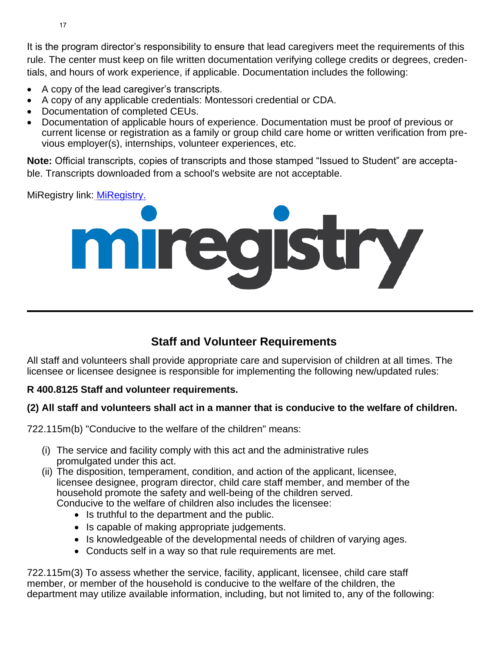It is the program director's responsibility to ensure that lead caregivers meet the requirements of this rule. The center must keep on file written documentation verifying college credits or degrees, credentials, and hours of work experience, if applicable. Documentation includes the following:

- A copy of the lead caregiver's transcripts.
- A copy of any applicable credentials: Montessori credential or CDA.
- Documentation of completed CEUs.
- Documentation of applicable hours of experience. Documentation must be proof of previous or current license or registration as a family or group child care home or written verification from previous employer(s), internships, volunteer experiences, etc.

**Note:** Official transcripts, copies of transcripts and those stamped "Issued to Student" are acceptable. Transcripts downloaded from a school's website are not acceptable.

MiRegistry link: [MiRegistry.](http://www.miregistry.org/)



# **Staff and Volunteer Requirements**

All staff and volunteers shall provide appropriate care and supervision of children at all times. The licensee or licensee designee is responsible for implementing the following new/updated rules:

# **R 400.8125 Staff and volunteer requirements.**

### **(2) All staff and volunteers shall act in a manner that is conducive to the welfare of children.**

722.115m(b) "Conducive to the welfare of the children" means:

- (i) The service and facility comply with this act and the administrative rules promulgated under this act.
- (ii) The disposition, temperament, condition, and action of the applicant, licensee, licensee designee, program director, child care staff member, and member of the household promote the safety and well-being of the children served. Conducive to the welfare of children also includes the licensee:
	- Is truthful to the department and the public.
	- Is capable of making appropriate judgements.
	- Is knowledgeable of the developmental needs of children of varying ages.
	- Conducts self in a way so that rule requirements are met.

722.115m(3) To assess whether the service, facility, applicant, licensee, child care staff member, or member of the household is conducive to the welfare of the children, the department may utilize available information, including, but not limited to, any of the following: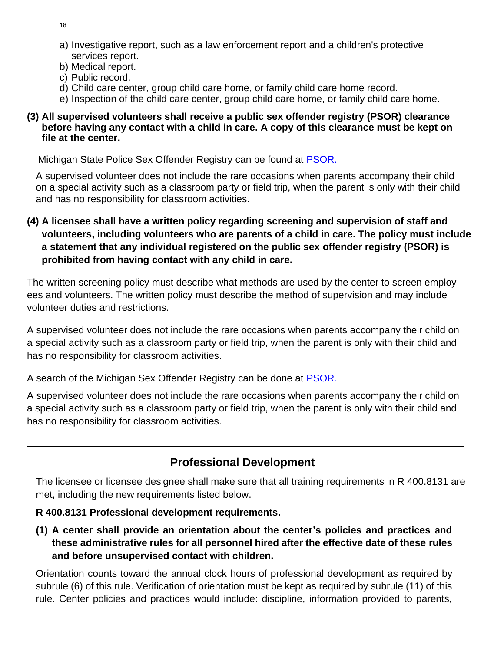18

- a) Investigative report, such as a law enforcement report and a children's protective services report.
- b) Medical report.
- c) Public record.
- d) Child care center, group child care home, or family child care home record.
- e) Inspection of the child care center, group child care home, or family child care home.

### **(3) All supervised volunteers shall receive a public sex offender registry (PSOR) clearance before having any contact with a child in care. A copy of this clearance must be kept on file at the center.**

Michigan State Police Sex Offender Registry can be found at [PSOR.](https://www.communitynotification.com/cap_main.php?office=55242/)

A supervised volunteer does not include the rare occasions when parents accompany their child on a special activity such as a classroom party or field trip, when the parent is only with their child and has no responsibility for classroom activities.

# **(4) A licensee shall have a written policy regarding screening and supervision of staff and volunteers, including volunteers who are parents of a child in care. The policy must include a statement that any individual registered on the public sex offender registry (PSOR) is prohibited from having contact with any child in care.**

The written screening policy must describe what methods are used by the center to screen employees and volunteers. The written policy must describe the method of supervision and may include volunteer duties and restrictions.

A supervised volunteer does not include the rare occasions when parents accompany their child on a special activity such as a classroom party or field trip, when the parent is only with their child and has no responsibility for classroom activities.

A search of the Michigan Sex Offender Registry can be done at **[PSOR.](https://www.communitynotification.com/cap_main.php?office=55242/)** 

A supervised volunteer does not include the rare occasions when parents accompany their child on a special activity such as a classroom party or field trip, when the parent is only with their child and has no responsibility for classroom activities.

# **Professional Development**

The licensee or licensee designee shall make sure that all training requirements in R 400.8131 are met, including the new requirements listed below.

# **R 400.8131 Professional development requirements.**

**(1) A center shall provide an orientation about the center's policies and practices and these administrative rules for all personnel hired after the effective date of these rules and before unsupervised contact with children.** 

Orientation counts toward the annual clock hours of professional development as required by subrule (6) of this rule. Verification of orientation must be kept as required by subrule (11) of this rule. Center policies and practices would include: discipline, information provided to parents,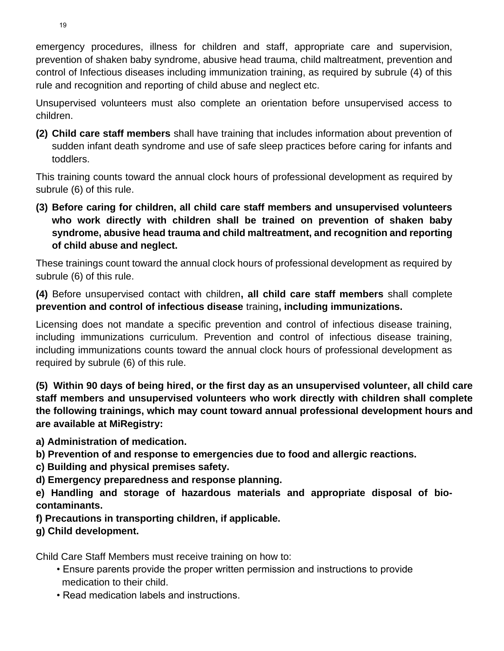emergency procedures, illness for children and staff, appropriate care and supervision, prevention of shaken baby syndrome, abusive head trauma, child maltreatment, prevention and control of Infectious diseases including immunization training, as required by subrule (4) of this rule and recognition and reporting of child abuse and neglect etc.

Unsupervised volunteers must also complete an orientation before unsupervised access to children.

**(2) Child care staff members** shall have training that includes information about prevention of sudden infant death syndrome and use of safe sleep practices before caring for infants and toddlers.

This training counts toward the annual clock hours of professional development as required by subrule (6) of this rule.

**(3) Before caring for children, all child care staff members and unsupervised volunteers who work directly with children shall be trained on prevention of shaken baby syndrome, abusive head trauma and child maltreatment, and recognition and reporting of child abuse and neglect.** 

These trainings count toward the annual clock hours of professional development as required by subrule (6) of this rule.

**(4)** Before unsupervised contact with children**, all child care staff members** shall complete **prevention and control of infectious disease** training**, including immunizations.** 

Licensing does not mandate a specific prevention and control of infectious disease training, including immunizations curriculum. Prevention and control of infectious disease training, including immunizations counts toward the annual clock hours of professional development as required by subrule (6) of this rule.

**(5) Within 90 days of being hired, or the first day as an unsupervised volunteer, all child care staff members and unsupervised volunteers who work directly with children shall complete the following trainings, which may count toward annual professional development hours and are available at MiRegistry:** 

**a) Administration of medication.** 

- **b) Prevention of and response to emergencies due to food and allergic reactions.**
- **c) Building and physical premises safety.**
- **d) Emergency preparedness and response planning.**

**e) Handling and storage of hazardous materials and appropriate disposal of biocontaminants.**

**f) Precautions in transporting children, if applicable.** 

# **g) Child development.**

Child Care Staff Members must receive training on how to:

- Ensure parents provide the proper written permission and instructions to provide medication to their child.
- Read medication labels and instructions.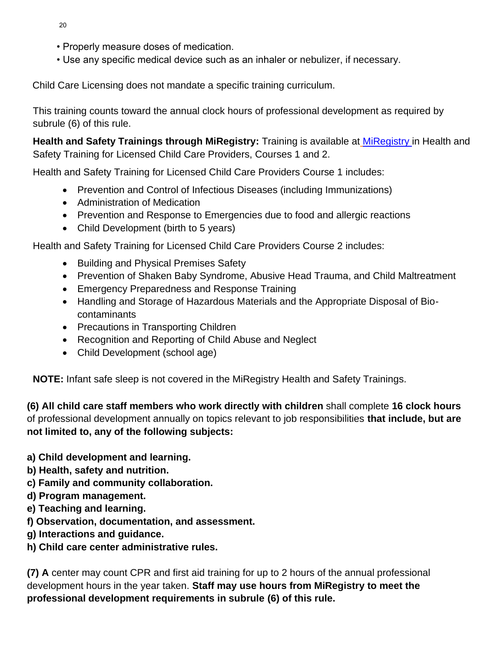- 20
- Properly measure doses of medication.
- Use any specific medical device such as an inhaler or nebulizer, if necessary.

Child Care Licensing does not mandate a specific training curriculum.

This training counts toward the annual clock hours of professional development as required by subrule (6) of this rule.

**Health and Safety Trainings through MiRegistry:** Training is available at [MiRegistry](http://www.miregistry.org/) in Health and Safety Training for Licensed Child Care Providers, Courses 1 and 2.

Health and Safety Training for Licensed Child Care Providers Course 1 includes:

- Prevention and Control of Infectious Diseases (including Immunizations)
- Administration of Medication
- Prevention and Response to Emergencies due to food and allergic reactions
- Child Development (birth to 5 years)

Health and Safety Training for Licensed Child Care Providers Course 2 includes:

- Building and Physical Premises Safety
- Prevention of Shaken Baby Syndrome, Abusive Head Trauma, and Child Maltreatment
- Emergency Preparedness and Response Training
- Handling and Storage of Hazardous Materials and the Appropriate Disposal of Biocontaminants
- Precautions in Transporting Children
- Recognition and Reporting of Child Abuse and Neglect
- Child Development (school age)

**NOTE:** Infant safe sleep is not covered in the MiRegistry Health and Safety Trainings.

**(6) All child care staff members who work directly with children** shall complete **16 clock hours**  of professional development annually on topics relevant to job responsibilities **that include, but are not limited to, any of the following subjects:** 

- **a) Child development and learning.**
- **b) Health, safety and nutrition.**
- **c) Family and community collaboration.**
- **d) Program management.**
- **e) Teaching and learning.**
- **f) Observation, documentation, and assessment.**
- **g) Interactions and guidance.**
- **h) Child care center administrative rules.**

**(7) A** center may count CPR and first aid training for up to 2 hours of the annual professional development hours in the year taken. **Staff may use hours from MiRegistry to meet the professional development requirements in subrule (6) of this rule.**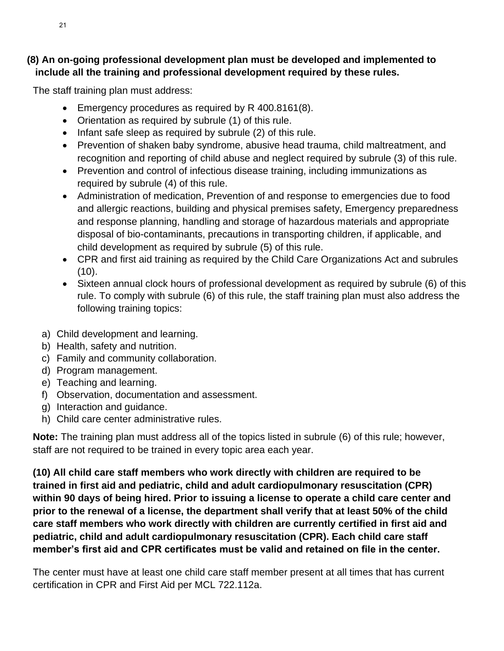# **(8) An on-going professional development plan must be developed and implemented to include all the training and professional development required by these rules.**

The staff training plan must address:

- Emergency procedures as required by R 400.8161(8).
- Orientation as required by subrule (1) of this rule.
- Infant safe sleep as required by subrule (2) of this rule.
- Prevention of shaken baby syndrome, abusive head trauma, child maltreatment, and recognition and reporting of child abuse and neglect required by subrule (3) of this rule.
- Prevention and control of infectious disease training, including immunizations as required by subrule (4) of this rule.
- Administration of medication, Prevention of and response to emergencies due to food and allergic reactions, building and physical premises safety, Emergency preparedness and response planning, handling and storage of hazardous materials and appropriate disposal of bio-contaminants, precautions in transporting children, if applicable, and child development as required by subrule (5) of this rule.
- CPR and first aid training as required by the Child Care Organizations Act and subrules  $(10).$
- Sixteen annual clock hours of professional development as required by subrule (6) of this rule. To comply with subrule (6) of this rule, the staff training plan must also address the following training topics:
- a) Child development and learning.
- b) Health, safety and nutrition.
- c) Family and community collaboration.
- d) Program management.
- e) Teaching and learning.
- f) Observation, documentation and assessment.
- g) Interaction and guidance.
- h) Child care center administrative rules.

**Note:** The training plan must address all of the topics listed in subrule (6) of this rule; however, staff are not required to be trained in every topic area each year.

**(10) All child care staff members who work directly with children are required to be trained in first aid and pediatric, child and adult cardiopulmonary resuscitation (CPR) within 90 days of being hired. Prior to issuing a license to operate a child care center and prior to the renewal of a license, the department shall verify that at least 50% of the child care staff members who work directly with children are currently certified in first aid and pediatric, child and adult cardiopulmonary resuscitation (CPR). Each child care staff member's first aid and CPR certificates must be valid and retained on file in the center.** 

The center must have at least one child care staff member present at all times that has current certification in CPR and First Aid per MCL 722.112a.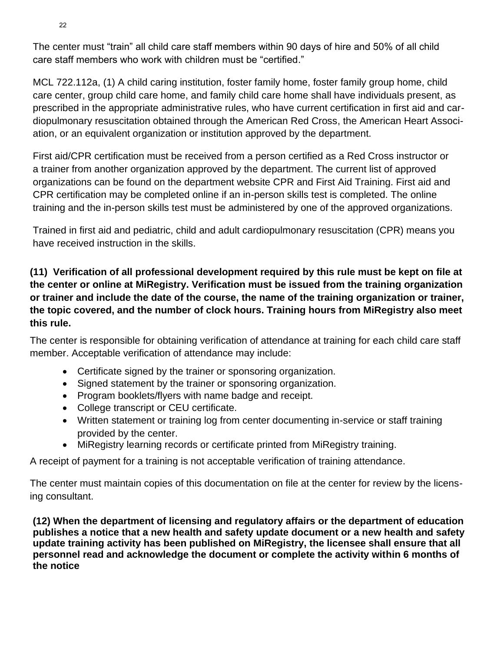The center must "train" all child care staff members within 90 days of hire and 50% of all child care staff members who work with children must be "certified."

MCL 722.112a, (1) A child caring institution, foster family home, foster family group home, child care center, group child care home, and family child care home shall have individuals present, as prescribed in the appropriate administrative rules, who have current certification in first aid and cardiopulmonary resuscitation obtained through the American Red Cross, the American Heart Association, or an equivalent organization or institution approved by the department.

First aid/CPR certification must be received from a person certified as a Red Cross instructor or a trainer from another organization approved by the department. The current list of approved organizations can be found on the department website CPR and First Aid Training. First aid and CPR certification may be completed online if an in-person skills test is completed. The online training and the in-person skills test must be administered by one of the approved organizations.

Trained in first aid and pediatric, child and adult cardiopulmonary resuscitation (CPR) means you have received instruction in the skills.

# **(11) Verification of all professional development required by this rule must be kept on file at the center or online at MiRegistry. Verification must be issued from the training organization or trainer and include the date of the course, the name of the training organization or trainer, the topic covered, and the number of clock hours. Training hours from MiRegistry also meet this rule.**

The center is responsible for obtaining verification of attendance at training for each child care staff member. Acceptable verification of attendance may include:

- Certificate signed by the trainer or sponsoring organization.
- Signed statement by the trainer or sponsoring organization.
- Program booklets/flyers with name badge and receipt.
- College transcript or CEU certificate.
- Written statement or training log from center documenting in-service or staff training provided by the center.
- MiRegistry learning records or certificate printed from MiRegistry training.

A receipt of payment for a training is not acceptable verification of training attendance.

The center must maintain copies of this documentation on file at the center for review by the licensing consultant.

**(12) When the department of licensing and regulatory affairs or the department of education publishes a notice that a new health and safety update document or a new health and safety update training activity has been published on MiRegistry, the licensee shall ensure that all personnel read and acknowledge the document or complete the activity within 6 months of the notice**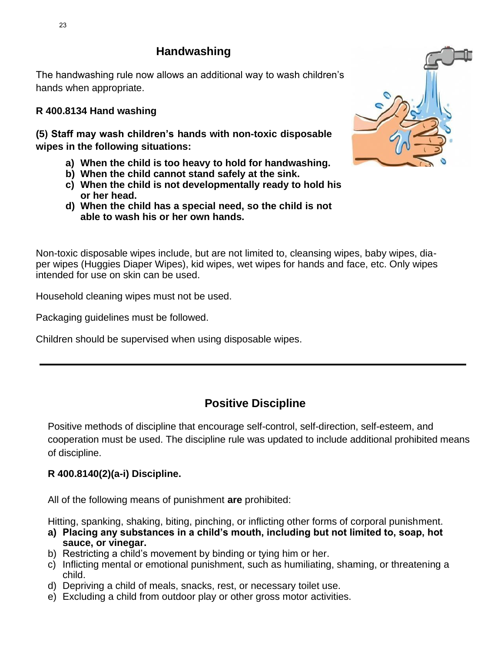# **Handwashing**

The handwashing rule now allows an additional way to wash children's hands when appropriate.

# **R 400.8134 Hand washing**

**(5) Staff may wash children's hands with non-toxic disposable wipes in the following situations:**

- **a) When the child is too heavy to hold for handwashing.**
- **b) When the child cannot stand safely at the sink.**
- **c) When the child is not developmentally ready to hold his or her head.**
- **d) When the child has a special need, so the child is not able to wash his or her own hands.**

Non-toxic disposable wipes include, but are not limited to, cleansing wipes, baby wipes, diaper wipes (Huggies Diaper Wipes), kid wipes, wet wipes for hands and face, etc. Only wipes intended for use on skin can be used.

Household cleaning wipes must not be used.

Packaging guidelines must be followed.

Children should be supervised when using disposable wipes.

# **Positive Discipline**

Positive methods of discipline that encourage self-control, self-direction, self-esteem, and cooperation must be used. The discipline rule was updated to include additional prohibited means of discipline.

# **R 400.8140(2)(a-i) Discipline.**

All of the following means of punishment **are** prohibited:

Hitting, spanking, shaking, biting, pinching, or inflicting other forms of corporal punishment.

- **a) Placing any substances in a child's mouth, including but not limited to, soap, hot sauce, or vinegar.**
- b) Restricting a child's movement by binding or tying him or her.
- c) Inflicting mental or emotional punishment, such as humiliating, shaming, or threatening a child.
- d) Depriving a child of meals, snacks, rest, or necessary toilet use.
- e) Excluding a child from outdoor play or other gross motor activities.

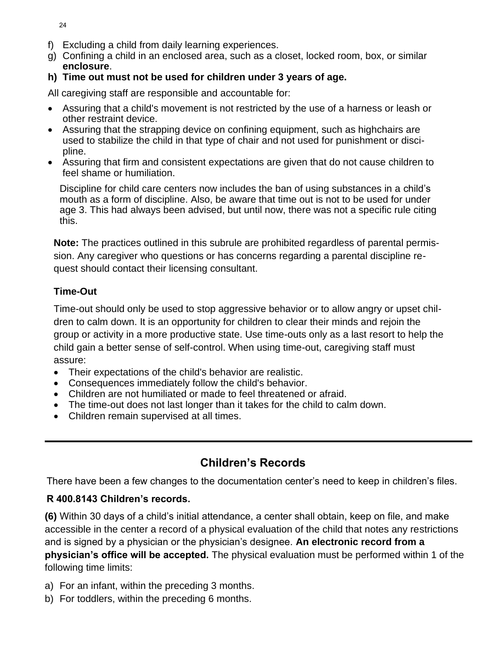- f) Excluding a child from daily learning experiences.
- g) Confining a child in an enclosed area, such as a closet, locked room, box, or similar **enclosure**.
- **h) Time out must not be used for children under 3 years of age.**

All caregiving staff are responsible and accountable for:

- Assuring that a child's movement is not restricted by the use of a harness or leash or other restraint device.
- Assuring that the strapping device on confining equipment, such as highchairs are used to stabilize the child in that type of chair and not used for punishment or discipline.
- Assuring that firm and consistent expectations are given that do not cause children to feel shame or humiliation.

Discipline for child care centers now includes the ban of using substances in a child's mouth as a form of discipline. Also, be aware that time out is not to be used for under age 3. This had always been advised, but until now, there was not a specific rule citing this.

**Note:** The practices outlined in this subrule are prohibited regardless of parental permission. Any caregiver who questions or has concerns regarding a parental discipline request should contact their licensing consultant.

# **Time-Out**

Time-out should only be used to stop aggressive behavior or to allow angry or upset children to calm down. It is an opportunity for children to clear their minds and rejoin the group or activity in a more productive state. Use time-outs only as a last resort to help the child gain a better sense of self-control. When using time-out, caregiving staff must assure:

- Their expectations of the child's behavior are realistic.
- Consequences immediately follow the child's behavior.
- Children are not humiliated or made to feel threatened or afraid.
- The time-out does not last longer than it takes for the child to calm down.
- Children remain supervised at all times.

# **Children's Records**

There have been a few changes to the documentation center's need to keep in children's files.

# **R 400.8143 Children's records.**

**(6)** Within 30 days of a child's initial attendance, a center shall obtain, keep on file, and make accessible in the center a record of a physical evaluation of the child that notes any restrictions and is signed by a physician or the physician's designee. **An electronic record from a physician's office will be accepted.** The physical evaluation must be performed within 1 of the following time limits:

- a) For an infant, within the preceding 3 months.
- b) For toddlers, within the preceding 6 months.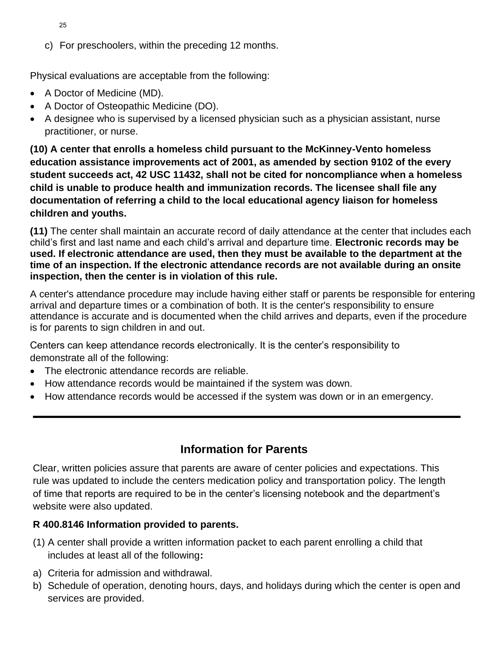- 25
- c) For preschoolers, within the preceding 12 months.

Physical evaluations are acceptable from the following:

- A Doctor of Medicine (MD).
- A Doctor of Osteopathic Medicine (DO).
- A designee who is supervised by a licensed physician such as a physician assistant, nurse practitioner, or nurse.

**(10) A center that enrolls a homeless child pursuant to the McKinney-Vento homeless education assistance improvements act of 2001, as amended by section 9102 of the every student succeeds act, 42 USC 11432, shall not be cited for noncompliance when a homeless child is unable to produce health and immunization records. The licensee shall file any documentation of referring a child to the local educational agency liaison for homeless children and youths.**

**(11)** The center shall maintain an accurate record of daily attendance at the center that includes each child's first and last name and each child's arrival and departure time. **Electronic records may be used. If electronic attendance are used, then they must be available to the department at the time of an inspection. If the electronic attendance records are not available during an onsite inspection, then the center is in violation of this rule.** 

A center's attendance procedure may include having either staff or parents be responsible for entering arrival and departure times or a combination of both. It is the center's responsibility to ensure attendance is accurate and is documented when the child arrives and departs, even if the procedure is for parents to sign children in and out.

Centers can keep attendance records electronically. It is the center's responsibility to demonstrate all of the following:

- The electronic attendance records are reliable.
- How attendance records would be maintained if the system was down.
- How attendance records would be accessed if the system was down or in an emergency.

# **Information for Parents**

Clear, written policies assure that parents are aware of center policies and expectations. This rule was updated to include the centers medication policy and transportation policy. The length of time that reports are required to be in the center's licensing notebook and the department's website were also updated.

# **R 400.8146 Information provided to parents.**

- (1) A center shall provide a written information packet to each parent enrolling a child that includes at least all of the following**:**
- a) Criteria for admission and withdrawal.
- b) Schedule of operation, denoting hours, days, and holidays during which the center is open and services are provided.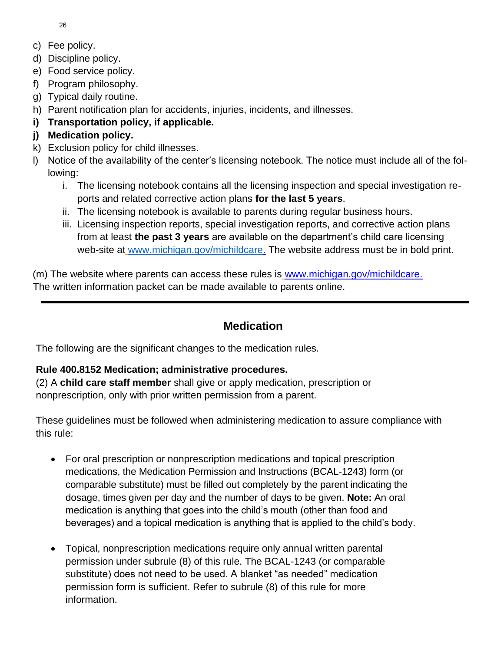26

- c) Fee policy.
- d) Discipline policy.
- e) Food service policy.
- f) Program philosophy.
- g) Typical daily routine.
- h) Parent notification plan for accidents, injuries, incidents, and illnesses.
- **i) Transportation policy, if applicable.**

# **j) Medication policy.**

- k) Exclusion policy for child illnesses.
- l) Notice of the availability of the center's licensing notebook. The notice must include all of the following:
	- i. The licensing notebook contains all the licensing inspection and special investigation reports and related corrective action plans **for the last 5 years**.
	- ii. The licensing notebook is available to parents during regular business hours.
	- iii. Licensing inspection reports, special investigation reports, and corrective action plans from at least **the past 3 years** are available on the department's child care licensing web-site at [www.michigan.gov/michildcare.](http://www.michigan.gov/michildcare) The website address must be in bold print.

(m) The website where parents can access these rules is [www.michigan.gov/michildcare.](file:///S:/Bfs/Bfscdc/MCCM/Special%20Edition%20-%20New%20Rules/www.michigan.gov/michildcare) The written information packet can be made available to parents online.

# **Medication**

The following are the significant changes to the medication rules.

# **Rule 400.8152 Medication; administrative procedures.**

(2) A **child care staff member** shall give or apply medication, prescription or nonprescription, only with prior written permission from a parent.

These guidelines must be followed when administering medication to assure compliance with this rule:

- For oral prescription or nonprescription medications and topical prescription medications, the Medication Permission and Instructions (BCAL-1243) form (or comparable substitute) must be filled out completely by the parent indicating the dosage, times given per day and the number of days to be given. **Note:** An oral medication is anything that goes into the child's mouth (other than food and beverages) and a topical medication is anything that is applied to the child's body.
- Topical, nonprescription medications require only annual written parental permission under subrule (8) of this rule. The BCAL-1243 (or comparable substitute) does not need to be used. A blanket "as needed" medication permission form is sufficient. Refer to subrule (8) of this rule for more information.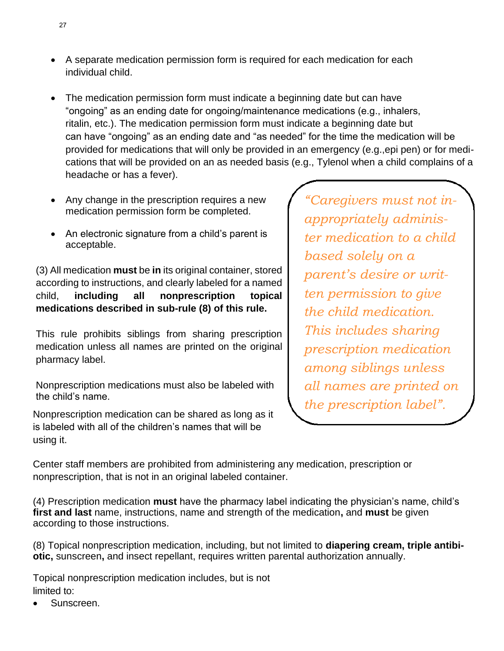- A separate medication permission form is required for each medication for each individual child.
- The medication permission form must indicate a beginning date but can have "ongoing" as an ending date for ongoing/maintenance medications (e.g., inhalers, ritalin, etc.). The medication permission form must indicate a beginning date but can have "ongoing" as an ending date and "as needed" for the time the medication will be provided for medications that will only be provided in an emergency (e.g.,epi pen) or for medications that will be provided on an as needed basis (e.g., Tylenol when a child complains of a headache or has a fever).
- Any change in the prescription requires a new medication permission form be completed.
- An electronic signature from a child's parent is acceptable.

(3) All medication **must** be **in** its original container, stored according to instructions, and clearly labeled for a named child, **including all nonprescription topical medications described in sub-rule (8) of this rule.**

This rule prohibits siblings from sharing prescription medication unless all names are printed on the original pharmacy label.

Nonprescription medications must also be labeled with the child's name.

Nonprescription medication can be shared as long as it is labeled with all of the children's names that will be using it.

*"Caregivers must not inappropriately administer medication to a child based solely on a parent's desire or written permission to give the child medication. This includes sharing prescription medication among siblings unless all names are printed on the prescription label".*

Center staff members are prohibited from administering any medication, prescription or nonprescription, that is not in an original labeled container.

(4) Prescription medication **must** have the pharmacy label indicating the physician's name, child's **first and last** name, instructions, name and strength of the medication**,** and **must** be given according to those instructions.

(8) Topical nonprescription medication, including, but not limited to **diapering cream, triple antibiotic,** sunscreen**,** and insect repellant, requires written parental authorization annually.

Topical nonprescription medication includes, but is not limited to:

• Sunscreen.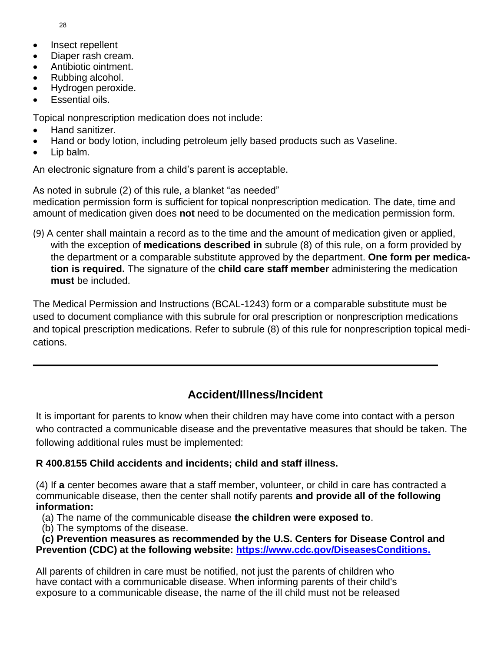28

- Insect repellent
- Diaper rash cream.
- Antibiotic ointment.
- Rubbing alcohol.
- Hydrogen peroxide.
- Essential oils.

Topical nonprescription medication does not include:

- Hand sanitizer.
- Hand or body lotion, including petroleum jelly based products such as Vaseline.
- Lip balm.

An electronic signature from a child's parent is acceptable.

As noted in subrule (2) of this rule, a blanket "as needed"

medication permission form is sufficient for topical nonprescription medication. The date, time and amount of medication given does **not** need to be documented on the medication permission form.

(9) A center shall maintain a record as to the time and the amount of medication given or applied, with the exception of **medications described in** subrule (8) of this rule, on a form provided by the department or a comparable substitute approved by the department. **One form per medication is required.** The signature of the **child care staff member** administering the medication **must** be included.

The Medical Permission and Instructions (BCAL-1243) form or a comparable substitute must be used to document compliance with this subrule for oral prescription or nonprescription medications and topical prescription medications. Refer to subrule (8) of this rule for nonprescription topical medications.

# **Accident/Illness/Incident**

It is important for parents to know when their children may have come into contact with a person who contracted a communicable disease and the preventative measures that should be taken. The following additional rules must be implemented:

# **R 400.8155 Child accidents and incidents; child and staff illness.**

(4) If **a** center becomes aware that a staff member, volunteer, or child in care has contracted a communicable disease, then the center shall notify parents **and provide all of the following information:**

- (a) The name of the communicable disease **the children were exposed to**.
- (b) The symptoms of the disease.

**(c) Prevention measures as recommended by the U.S. Centers for Disease Control and Prevention (CDC) at the following website:<https://www.cdc.gov/DiseasesConditions.>**

All parents of children in care must be notified, not just the parents of children who have contact with a communicable disease. When informing parents of their child's exposure to a communicable disease, the name of the ill child must not be released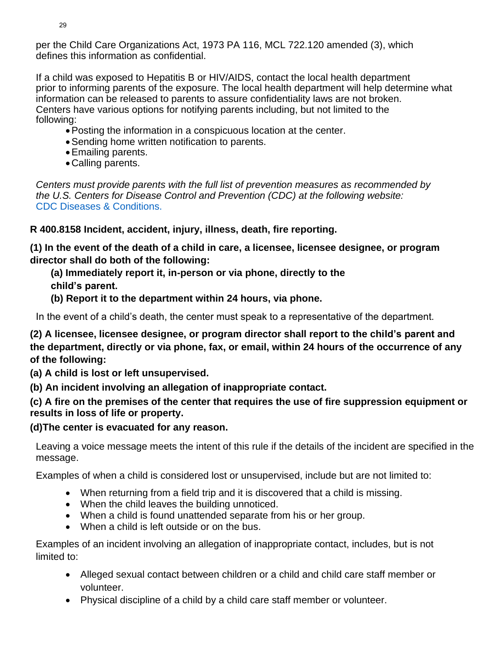per the Child Care Organizations Act, 1973 PA 116, MCL 722.120 amended (3), which defines this information as confidential.

If a child was exposed to Hepatitis B or HIV/AIDS, contact the local health department prior to informing parents of the exposure. The local health department will help determine what information can be released to parents to assure confidentiality laws are not broken. Centers have various options for notifying parents including, but not limited to the following:

- •Posting the information in a conspicuous location at the center.
- •Sending home written notification to parents.
- •Emailing parents.
- •Calling parents.

*Centers must provide parents with the full list of prevention measures as recommended by the U.S. Centers for Disease Control and Prevention (CDC) at the following website:* CDC Diseases & Conditions.

**R 400.8158 Incident, accident, injury, illness, death, fire reporting.** 

**(1) In the event of the death of a child in care, a licensee, licensee designee, or program director shall do both of the following:** 

**(a) Immediately report it, in-person or via phone, directly to the child's parent.** 

**(b) Report it to the department within 24 hours, via phone.**

In the event of a child's death, the center must speak to a representative of the department.

**(2) A licensee, licensee designee, or program director shall report to the child's parent and the department, directly or via phone, fax, or email, within 24 hours of the occurrence of any of the following:** 

**(a) A child is lost or left unsupervised.**

**(b) An incident involving an allegation of inappropriate contact.**

**(c) A fire on the premises of the center that requires the use of fire suppression equipment or results in loss of life or property.**

**(d)The center is evacuated for any reason.**

Leaving a voice message meets the intent of this rule if the details of the incident are specified in the message.

Examples of when a child is considered lost or unsupervised, include but are not limited to:

- When returning from a field trip and it is discovered that a child is missing.
- When the child leaves the building unnoticed.
- When a child is found unattended separate from his or her group.
- When a child is left outside or on the bus.

Examples of an incident involving an allegation of inappropriate contact, includes, but is not limited to:

- Alleged sexual contact between children or a child and child care staff member or volunteer.
- Physical discipline of a child by a child care staff member or volunteer.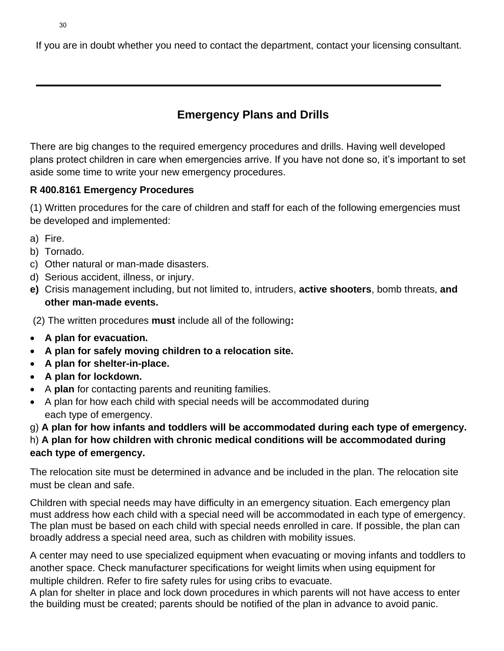If you are in doubt whether you need to contact the department, contact your licensing consultant.

# **Emergency Plans and Drills**

There are big changes to the required emergency procedures and drills. Having well developed plans protect children in care when emergencies arrive. If you have not done so, it's important to set aside some time to write your new emergency procedures.

# **R 400.8161 Emergency Procedures**

(1) Written procedures for the care of children and staff for each of the following emergencies must be developed and implemented:

- a) Fire.
- b) Tornado.
- c) Other natural or man-made disasters.
- d) Serious accident, illness, or injury.
- **e)** Crisis management including, but not limited to, intruders, **active shooters**, bomb threats, **and other man-made events.**

(2) The written procedures **must** include all of the following**:** 

- **A plan for evacuation.**
- **A plan for safely moving children to a relocation site.**
- **A plan for shelter-in-place.**
- **A plan for lockdown.**
- A **plan** for contacting parents and reuniting families.
- A plan for how each child with special needs will be accommodated during each type of emergency.

g) **A plan for how infants and toddlers will be accommodated during each type of emergency.**

# h) **A plan for how children with chronic medical conditions will be accommodated during each type of emergency.**

The relocation site must be determined in advance and be included in the plan. The relocation site must be clean and safe.

Children with special needs may have difficulty in an emergency situation. Each emergency plan must address how each child with a special need will be accommodated in each type of emergency. The plan must be based on each child with special needs enrolled in care. If possible, the plan can broadly address a special need area, such as children with mobility issues.

A center may need to use specialized equipment when evacuating or moving infants and toddlers to another space. Check manufacturer specifications for weight limits when using equipment for multiple children. Refer to fire safety rules for using cribs to evacuate.

A plan for shelter in place and lock down procedures in which parents will not have access to enter the building must be created; parents should be notified of the plan in advance to avoid panic.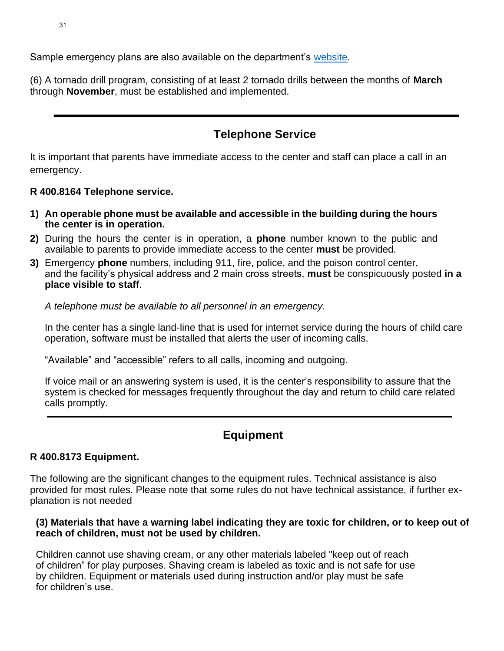Sample emergency plans are also available on the department's [website.](https://www.michigan.gov/documents/lara/Sample_Emergency_Procedures_7_2016_529167_7.pdf)

(6) A tornado drill program, consisting of at least 2 tornado drills between the months of **March**  through **November**, must be established and implemented.

# **Telephone Service**

It is important that parents have immediate access to the center and staff can place a call in an emergency.

# **R 400.8164 Telephone service.**

- **1) An operable phone must be available and accessible in the building during the hours the center is in operation.**
- **2)** During the hours the center is in operation, a **phone** number known to the public and available to parents to provide immediate access to the center **must** be provided.
- **3)** Emergency **phone** numbers, including 911, fire, police, and the poison control center, and the facility's physical address and 2 main cross streets, **must** be conspicuously posted **in a place visible to staff**.

*A telephone must be available to all personnel in an emergency.* 

In the center has a single land-line that is used for internet service during the hours of child care operation, software must be installed that alerts the user of incoming calls.

"Available" and "accessible" refers to all calls, incoming and outgoing.

If voice mail or an answering system is used, it is the center's responsibility to assure that the system is checked for messages frequently throughout the day and return to child care related calls promptly.

# **Equipment**

# **R 400.8173 Equipment.**

The following are the significant changes to the equipment rules. Technical assistance is also provided for most rules. Please note that some rules do not have technical assistance, if further explanation is not needed

### **(3) Materials that have a warning label indicating they are toxic for children, or to keep out of reach of children, must not be used by children.**

Children cannot use shaving cream, or any other materials labeled "keep out of reach of children" for play purposes. Shaving cream is labeled as toxic and is not safe for use by children. Equipment or materials used during instruction and/or play must be safe for children's use.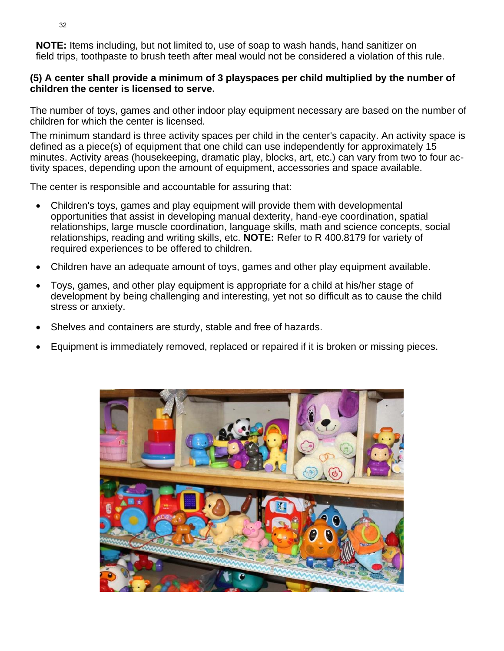**NOTE:** Items including, but not limited to, use of soap to wash hands, hand sanitizer on field trips, toothpaste to brush teeth after meal would not be considered a violation of this rule.

### **(5) A center shall provide a minimum of 3 playspaces per child multiplied by the number of children the center is licensed to serve.**

The number of toys, games and other indoor play equipment necessary are based on the number of children for which the center is licensed.

The minimum standard is three activity spaces per child in the center's capacity. An activity space is defined as a piece(s) of equipment that one child can use independently for approximately 15 minutes. Activity areas (housekeeping, dramatic play, blocks, art, etc.) can vary from two to four activity spaces, depending upon the amount of equipment, accessories and space available.

The center is responsible and accountable for assuring that:

- Children's toys, games and play equipment will provide them with developmental opportunities that assist in developing manual dexterity, hand-eye coordination, spatial relationships, large muscle coordination, language skills, math and science concepts, social relationships, reading and writing skills, etc. **NOTE:** Refer to R 400.8179 for variety of required experiences to be offered to children.
- Children have an adequate amount of toys, games and other play equipment available.
- Toys, games, and other play equipment is appropriate for a child at his/her stage of development by being challenging and interesting, yet not so difficult as to cause the child stress or anxiety.
- Shelves and containers are sturdy, stable and free of hazards.
- Equipment is immediately removed, replaced or repaired if it is broken or missing pieces.

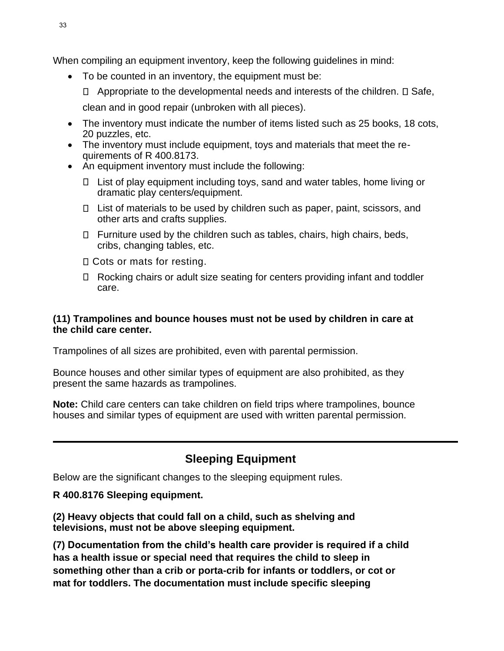When compiling an equipment inventory, keep the following guidelines in mind:

- To be counted in an inventory, the equipment must be:
	- $\Box$  Appropriate to the developmental needs and interests of the children.  $\Box$  Safe,
	- clean and in good repair (unbroken with all pieces).
- The inventory must indicate the number of items listed such as 25 books, 18 cots, 20 puzzles, etc.
- The inventory must include equipment, toys and materials that meet the requirements of R 400.8173.
- An equipment inventory must include the following:
	- $\Box$  List of play equipment including toys, sand and water tables, home living or dramatic play centers/equipment.
	- $\Box$  List of materials to be used by children such as paper, paint, scissors, and other arts and crafts supplies.
	- $\Box$  Furniture used by the children such as tables, chairs, high chairs, beds, cribs, changing tables, etc.
	- □ Cots or mats for resting.
	- Rocking chairs or adult size seating for centers providing infant and toddler care.

### **(11) Trampolines and bounce houses must not be used by children in care at the child care center.**

Trampolines of all sizes are prohibited, even with parental permission.

Bounce houses and other similar types of equipment are also prohibited, as they present the same hazards as trampolines.

**Note:** Child care centers can take children on field trips where trampolines, bounce houses and similar types of equipment are used with written parental permission.

# **Sleeping Equipment**

Below are the significant changes to the sleeping equipment rules.

# **R 400.8176 Sleeping equipment.**

**(2) Heavy objects that could fall on a child, such as shelving and televisions, must not be above sleeping equipment.**

**(7) Documentation from the child's health care provider is required if a child has a health issue or special need that requires the child to sleep in something other than a crib or porta-crib for infants or toddlers, or cot or mat for toddlers. The documentation must include specific sleeping**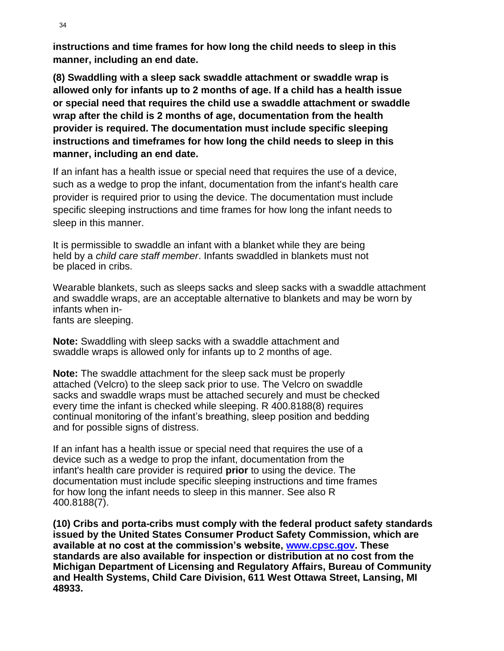**instructions and time frames for how long the child needs to sleep in this manner, including an end date.**

**(8) Swaddling with a sleep sack swaddle attachment or swaddle wrap is allowed only for infants up to 2 months of age. If a child has a health issue or special need that requires the child use a swaddle attachment or swaddle wrap after the child is 2 months of age, documentation from the health provider is required. The documentation must include specific sleeping instructions and timeframes for how long the child needs to sleep in this manner, including an end date.** 

If an infant has a health issue or special need that requires the use of a device, such as a wedge to prop the infant, documentation from the infant's health care provider is required prior to using the device. The documentation must include specific sleeping instructions and time frames for how long the infant needs to sleep in this manner.

It is permissible to swaddle an infant with a blanket while they are being held by a *child care staff member*. Infants swaddled in blankets must not be placed in cribs.

Wearable blankets, such as sleeps sacks and sleep sacks with a swaddle attachment and swaddle wraps, are an acceptable alternative to blankets and may be worn by infants when infants are sleeping.

**Note:** Swaddling with sleep sacks with a swaddle attachment and swaddle wraps is allowed only for infants up to 2 months of age.

**Note:** The swaddle attachment for the sleep sack must be properly attached (Velcro) to the sleep sack prior to use. The Velcro on swaddle sacks and swaddle wraps must be attached securely and must be checked every time the infant is checked while sleeping. R 400.8188(8) requires continual monitoring of the infant's breathing, sleep position and bedding and for possible signs of distress.

If an infant has a health issue or special need that requires the use of a device such as a wedge to prop the infant, documentation from the infant's health care provider is required **prior** to using the device. The documentation must include specific sleeping instructions and time frames for how long the infant needs to sleep in this manner. See also R 400.8188(7).

**(10) Cribs and porta-cribs must comply with the federal product safety standards issued by the United States Consumer Product Safety Commission, which are available at no cost at the commission's website, [www.cpsc.gov.](http://www.cpsc.gov/) These standards are also available for inspection or distribution at no cost from the Michigan Department of Licensing and Regulatory Affairs, Bureau of Community and Health Systems, Child Care Division, 611 West Ottawa Street, Lansing, MI 48933.**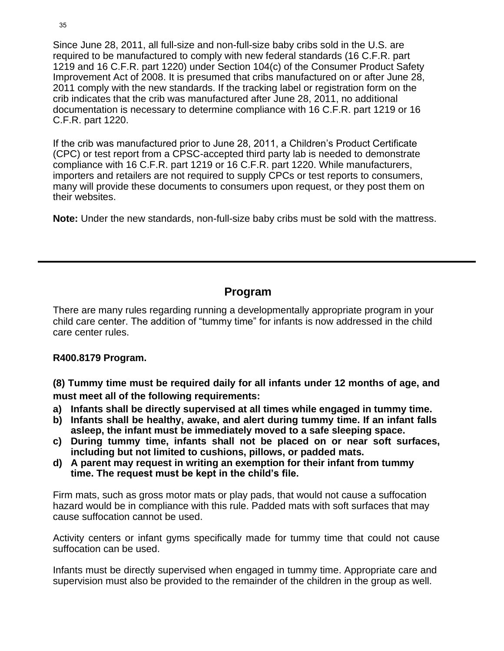Since June 28, 2011, all full-size and non-full-size baby cribs sold in the U.S. are required to be manufactured to comply with new federal standards (16 C.F.R. part 1219 and 16 C.F.R. part 1220) under Section 104(c) of the Consumer Product Safety Improvement Act of 2008. It is presumed that cribs manufactured on or after June 28, 2011 comply with the new standards. If the tracking label or registration form on the crib indicates that the crib was manufactured after June 28, 2011, no additional documentation is necessary to determine compliance with 16 C.F.R. part 1219 or 16 C.F.R. part 1220.

If the crib was manufactured prior to June 28, 2011, a Children's Product Certificate (CPC) or test report from a CPSC-accepted third party lab is needed to demonstrate compliance with 16 C.F.R. part 1219 or 16 C.F.R. part 1220. While manufacturers, importers and retailers are not required to supply CPCs or test reports to consumers, many will provide these documents to consumers upon request, or they post them on their websites.

**Note:** Under the new standards, non-full-size baby cribs must be sold with the mattress.

# **Program**

There are many rules regarding running a developmentally appropriate program in your child care center. The addition of "tummy time" for infants is now addressed in the child care center rules.

### **R400.8179 Program.**

**(8) Tummy time must be required daily for all infants under 12 months of age, and must meet all of the following requirements:**

- **a) Infants shall be directly supervised at all times while engaged in tummy time.**
- **b) Infants shall be healthy, awake, and alert during tummy time. If an infant falls asleep, the infant must be immediately moved to a safe sleeping space.**
- **c) During tummy time, infants shall not be placed on or near soft surfaces, including but not limited to cushions, pillows, or padded mats.**
- **d) A parent may request in writing an exemption for their infant from tummy time. The request must be kept in the child's file.**

Firm mats, such as gross motor mats or play pads, that would not cause a suffocation hazard would be in compliance with this rule. Padded mats with soft surfaces that may cause suffocation cannot be used.

Activity centers or infant gyms specifically made for tummy time that could not cause suffocation can be used.

Infants must be directly supervised when engaged in tummy time. Appropriate care and supervision must also be provided to the remainder of the children in the group as well.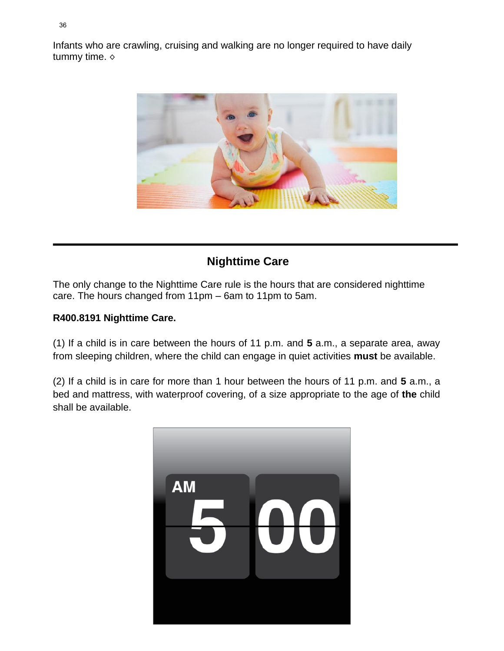Infants who are crawling, cruising and walking are no longer required to have daily tummy time. ◇



# **Nighttime Care**

The only change to the Nighttime Care rule is the hours that are considered nighttime care. The hours changed from 11pm – 6am to 11pm to 5am.

# **R400.8191 Nighttime Care.**

(1) If a child is in care between the hours of 11 p.m. and **5** a.m., a separate area, away from sleeping children, where the child can engage in quiet activities **must** be available.

(2) If a child is in care for more than 1 hour between the hours of 11 p.m. and **5** a.m., a bed and mattress, with waterproof covering, of a size appropriate to the age of **the** child shall be available.

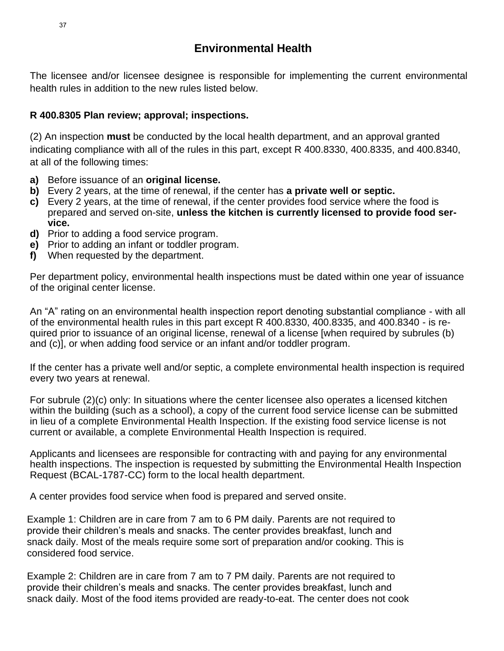The licensee and/or licensee designee is responsible for implementing the current environmental health rules in addition to the new rules listed below.

# **R 400.8305 Plan review; approval; inspections.**

(2) An inspection **must** be conducted by the local health department, and an approval granted indicating compliance with all of the rules in this part, except R 400.8330, 400.8335, and 400.8340, at all of the following times:

- **a)** Before issuance of an **original license.**
- **b)** Every 2 years, at the time of renewal, if the center has **a private well or septic.**
- **c)** Every 2 years, at the time of renewal, if the center provides food service where the food is prepared and served on-site, **unless the kitchen is currently licensed to provide food service.**
- **d)** Prior to adding a food service program.
- **e)** Prior to adding an infant or toddler program.
- **f)** When requested by the department.

Per department policy, environmental health inspections must be dated within one year of issuance of the original center license.

An "A" rating on an environmental health inspection report denoting substantial compliance - with all of the environmental health rules in this part except R 400.8330, 400.8335, and 400.8340 - is required prior to issuance of an original license, renewal of a license [when required by subrules (b) and (c)], or when adding food service or an infant and/or toddler program.

If the center has a private well and/or septic, a complete environmental health inspection is required every two years at renewal.

For subrule (2)(c) only: In situations where the center licensee also operates a licensed kitchen within the building (such as a school), a copy of the current food service license can be submitted in lieu of a complete Environmental Health Inspection. If the existing food service license is not current or available, a complete Environmental Health Inspection is required.

Applicants and licensees are responsible for contracting with and paying for any environmental health inspections. The inspection is requested by submitting the Environmental Health Inspection Request (BCAL-1787-CC) form to the local health department.

A center provides food service when food is prepared and served onsite.

Example 1: Children are in care from 7 am to 6 PM daily. Parents are not required to provide their children's meals and snacks. The center provides breakfast, lunch and snack daily. Most of the meals require some sort of preparation and/or cooking. This is considered food service.

Example 2: Children are in care from 7 am to 7 PM daily. Parents are not required to provide their children's meals and snacks. The center provides breakfast, lunch and snack daily. Most of the food items provided are ready-to-eat. The center does not cook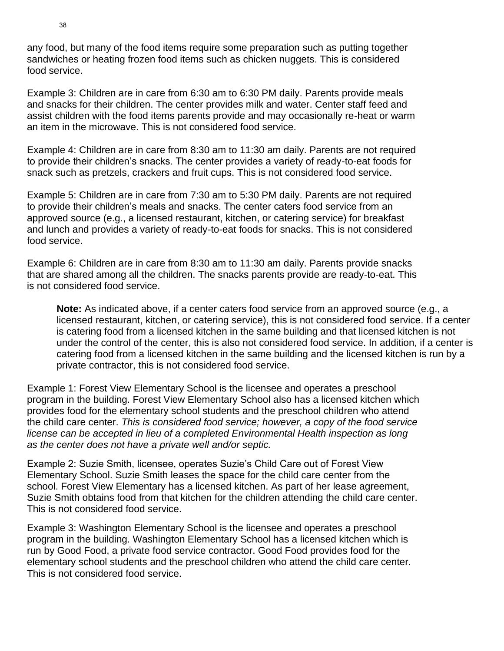any food, but many of the food items require some preparation such as putting together sandwiches or heating frozen food items such as chicken nuggets. This is considered food service.

Example 3: Children are in care from 6:30 am to 6:30 PM daily. Parents provide meals and snacks for their children. The center provides milk and water. Center staff feed and assist children with the food items parents provide and may occasionally re-heat or warm an item in the microwave. This is not considered food service.

Example 4: Children are in care from 8:30 am to 11:30 am daily. Parents are not required to provide their children's snacks. The center provides a variety of ready-to-eat foods for snack such as pretzels, crackers and fruit cups. This is not considered food service.

Example 5: Children are in care from 7:30 am to 5:30 PM daily. Parents are not required to provide their children's meals and snacks. The center caters food service from an approved source (e.g., a licensed restaurant, kitchen, or catering service) for breakfast and lunch and provides a variety of ready-to-eat foods for snacks. This is not considered food service.

Example 6: Children are in care from 8:30 am to 11:30 am daily. Parents provide snacks that are shared among all the children. The snacks parents provide are ready-to-eat. This is not considered food service.

**Note:** As indicated above, if a center caters food service from an approved source (e.g., a licensed restaurant, kitchen, or catering service), this is not considered food service. If a center is catering food from a licensed kitchen in the same building and that licensed kitchen is not under the control of the center, this is also not considered food service. In addition, if a center is catering food from a licensed kitchen in the same building and the licensed kitchen is run by a private contractor, this is not considered food service.

Example 1: Forest View Elementary School is the licensee and operates a preschool program in the building. Forest View Elementary School also has a licensed kitchen which provides food for the elementary school students and the preschool children who attend the child care center. *This is considered food service; however, a copy of the food service license can be accepted in lieu of a completed Environmental Health inspection as long as the center does not have a private well and/or septic.*

Example 2: Suzie Smith, licensee, operates Suzie's Child Care out of Forest View Elementary School. Suzie Smith leases the space for the child care center from the school. Forest View Elementary has a licensed kitchen. As part of her lease agreement, Suzie Smith obtains food from that kitchen for the children attending the child care center. This is not considered food service.

Example 3: Washington Elementary School is the licensee and operates a preschool program in the building. Washington Elementary School has a licensed kitchen which is run by Good Food, a private food service contractor. Good Food provides food for the elementary school students and the preschool children who attend the child care center. This is not considered food service.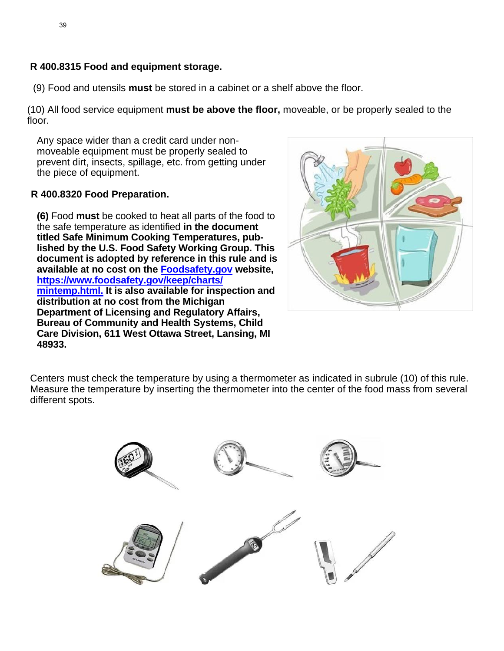### **R 400.8315 Food and equipment storage.**

(9) Food and utensils **must** be stored in a cabinet or a shelf above the floor.

(10) All food service equipment **must be above the floor,** moveable, or be properly sealed to the floor.

Any space wider than a credit card under nonmoveable equipment must be properly sealed to prevent dirt, insects, spillage, etc. from getting under the piece of equipment.

### **R 400.8320 Food Preparation.**

**(6)** Food **must** be cooked to heat all parts of the food to the safe temperature as identified **in the document titled Safe Minimum Cooking Temperatures, published by the U.S. Food Safety Working Group. This document is adopted by reference in this rule and is available at no cost on the [Foodsafety.gov](http://foodsafety.gov/) [website,](https://www.foodsafety.gov/keep/charts/mintemp.html)  [https://www.foodsafety.gov/keep/charts/](https://www.foodsafety.gov/keep/charts/mintemp.html) [mintemp.html.](https://www.foodsafety.gov/keep/charts/mintemp.html) It is also available for inspection and distribution at no cost from the Michigan Department of Licensing and Regulatory Affairs, Bureau of Community and Health Systems, Child Care Division, 611 West Ottawa Street, Lansing, MI 48933.**



Centers must check the temperature by using a thermometer as indicated in subrule (10) of this rule. Measure the temperature by inserting the thermometer into the center of the food mass from several different spots.

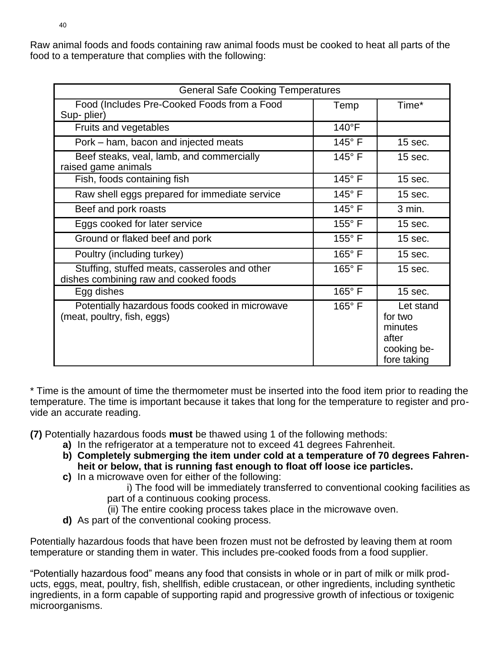Raw animal foods and foods containing raw animal foods must be cooked to heat all parts of the food to a temperature that complies with the following:

| <b>General Safe Cooking Temperatures</b>                                               |                 |                                                                        |
|----------------------------------------------------------------------------------------|-----------------|------------------------------------------------------------------------|
| Food (Includes Pre-Cooked Foods from a Food<br>Sup-plier)                              | Temp            | Time*                                                                  |
| Fruits and vegetables                                                                  | $140^{\circ}F$  |                                                                        |
| Pork – ham, bacon and injected meats                                                   | $145^\circ$ F   | 15 sec.                                                                |
| Beef steaks, veal, lamb, and commercially<br>raised game animals                       | 145°F           | 15 sec.                                                                |
| Fish, foods containing fish                                                            | $145^\circ$ F   | 15 sec.                                                                |
| Raw shell eggs prepared for immediate service                                          | $145^\circ$ F   | 15 sec.                                                                |
| Beef and pork roasts                                                                   | 145°F           | 3 min.                                                                 |
| Eggs cooked for later service                                                          | $155^{\circ}$ F | 15 sec.                                                                |
| Ground or flaked beef and pork                                                         | $155^{\circ}$ F | $15$ sec.                                                              |
| Poultry (including turkey)                                                             | $165^\circ$ F   | 15 sec.                                                                |
| Stuffing, stuffed meats, casseroles and other<br>dishes combining raw and cooked foods | 165°F           | 15 sec.                                                                |
| Egg dishes                                                                             | $165^\circ$ F   | 15 sec.                                                                |
| Potentially hazardous foods cooked in microwave<br>(meat, poultry, fish, eggs)         | 165°F           | Let stand<br>for two<br>minutes<br>after<br>cooking be-<br>fore taking |

\* Time is the amount of time the thermometer must be inserted into the food item prior to reading the temperature. The time is important because it takes that long for the temperature to register and provide an accurate reading.

**(7)** Potentially hazardous foods **must** be thawed using 1 of the following methods:

- **a)** In the refrigerator at a temperature not to exceed 41 degrees Fahrenheit.
- **b) Completely submerging the item under cold at a temperature of 70 degrees Fahrenheit or below, that is running fast enough to float off loose ice particles.**
- **c)** In a microwave oven for either of the following:

i) The food will be immediately transferred to conventional cooking facilities as part of a continuous cooking process.

the temp.

- (ii) The entire cooking process takes place in the microwave oven.
- **d)** As part of the conventional cooking process.

Potentially hazardous foods that have been frozen must not be defrosted by leaving them at room temperature or standing them in water. This includes pre-cooked foods from a food supplier.

"Potentially hazardous food" means any food that consists in whole or in part of milk or milk products, eggs, meat, poultry, fish, shellfish, edible crustacean, or other ingredients, including synthetic ingredients, in a form capable of supporting rapid and progressive growth of infectious or toxigenic microorganisms.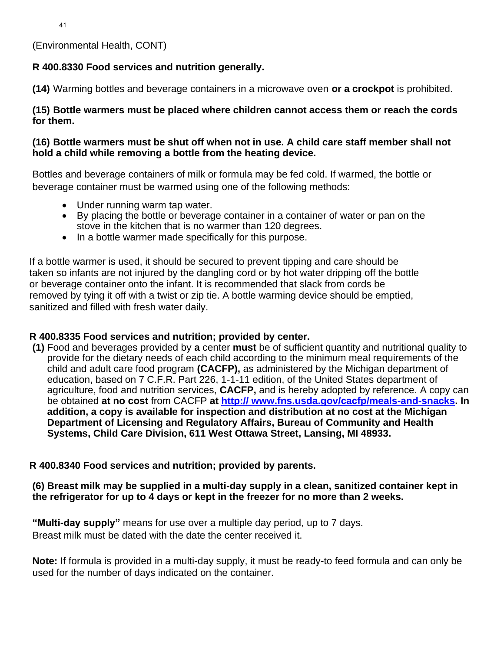(Environmental Health, CONT)

# **R 400.8330 Food services and nutrition generally.**

**(14)** Warming bottles and beverage containers in a microwave oven **or a crockpot** is prohibited.

### **(15) Bottle warmers must be placed where children cannot access them or reach the cords for them.**

### **(16) Bottle warmers must be shut off when not in use. A child care staff member shall not hold a child while removing a bottle from the heating device.**

Bottles and beverage containers of milk or formula may be fed cold. If warmed, the bottle or beverage container must be warmed using one of the following methods:

- Under running warm tap water.
- By placing the bottle or beverage container in a container of water or pan on the stove in the kitchen that is no warmer than 120 degrees.
- In a bottle warmer made specifically for this purpose.

If a bottle warmer is used, it should be secured to prevent tipping and care should be taken so infants are not injured by the dangling cord or by hot water dripping off the bottle or beverage container onto the infant. It is recommended that slack from cords be removed by tying it off with a twist or zip tie. A bottle warming device should be emptied, sanitized and filled with fresh water daily.

### **R 400.8335 Food services and nutrition; provided by center.**

**(1)** Food and beverages provided by **a** center **must** be of sufficient quantity and nutritional quality to provide for the dietary needs of each child according to the minimum meal requirements of the child and adult care food program **(CACFP),** as administered by the Michigan department of education, based on 7 C.F.R. Part 226, 1-1-11 edition, of the United States department of agriculture, food and nutrition services, **CACFP,** and is hereby adopted by reference. A copy can be obtained **at no cost** from CACFP **at [http:// www.fns.usda.gov/cacfp/meals-and-snacks.](http://www.fns.usda.gov/cacfp/meals-and-snacks) In addition, a copy is available for inspection and distribution at no cost at the Michigan Department of Licensing and Regulatory Affairs, Bureau of Community and Health Systems, Child Care Division, 611 West Ottawa Street, Lansing, MI 48933.**

# **R 400.8340 Food services and nutrition; provided by parents.**

### **(6) Breast milk may be supplied in a multi-day supply in a clean, sanitized container kept in the refrigerator for up to 4 days or kept in the freezer for no more than 2 weeks.**

**"Multi-day supply"** means for use over a multiple day period, up to 7 days. Breast milk must be dated with the date the center received it.

**Note:** If formula is provided in a multi-day supply, it must be ready-to feed formula and can only be used for the number of days indicated on the container.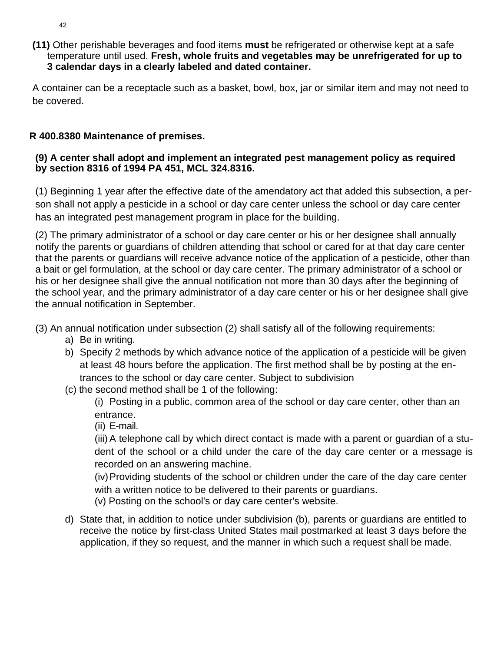**(11)** Other perishable beverages and food items **must** be refrigerated or otherwise kept at a safe temperature until used. **Fresh, whole fruits and vegetables may be unrefrigerated for up to 3 calendar days in a clearly labeled and dated container.**

A container can be a receptacle such as a basket, bowl, box, jar or similar item and may not need to be covered.

# **R 400.8380 Maintenance of premises.**

### **(9) A center shall adopt and implement an integrated pest management policy as required by section 8316 of 1994 PA 451, MCL 324.8316.**

(1) Beginning 1 year after the effective date of the amendatory act that added this subsection, a person shall not apply a pesticide in a school or day care center unless the school or day care center has an integrated pest management program in place for the building.

(2) The primary administrator of a school or day care center or his or her designee shall annually notify the parents or guardians of children attending that school or cared for at that day care center that the parents or guardians will receive advance notice of the application of a pesticide, other than a bait or gel formulation, at the school or day care center. The primary administrator of a school or his or her designee shall give the annual notification not more than 30 days after the beginning of the school year, and the primary administrator of a day care center or his or her designee shall give the annual notification in September.

(3) An annual notification under subsection (2) shall satisfy all of the following requirements:

- a) Be in writing.
- b) Specify 2 methods by which advance notice of the application of a pesticide will be given at least 48 hours before the application. The first method shall be by posting at the entrances to the school or day care center. Subject to subdivision
- (c) the second method shall be 1 of the following:

(i) Posting in a public, common area of the school or day care center, other than an entrance.

(ii) E-mail.

(iii) A telephone call by which direct contact is made with a parent or guardian of a student of the school or a child under the care of the day care center or a message is recorded on an answering machine.

(iv)Providing students of the school or children under the care of the day care center with a written notice to be delivered to their parents or guardians.

(v) Posting on the school's or day care center's website.

d) State that, in addition to notice under subdivision (b), parents or guardians are entitled to receive the notice by first-class United States mail postmarked at least 3 days before the application, if they so request, and the manner in which such a request shall be made.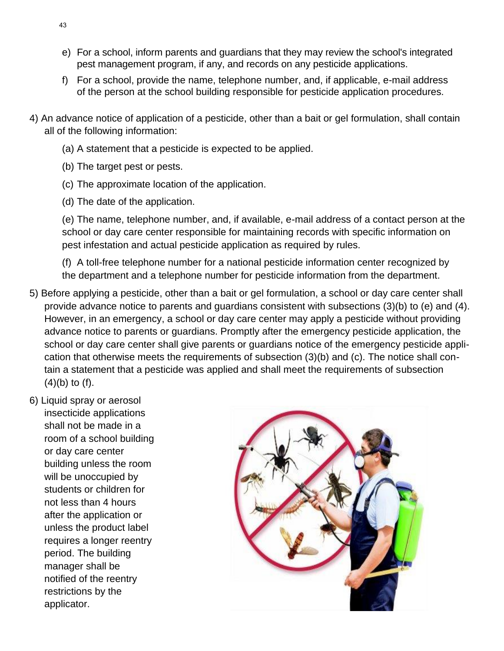- e) For a school, inform parents and guardians that they may review the school's integrated pest management program, if any, and records on any pesticide applications.
- f) For a school, provide the name, telephone number, and, if applicable, e-mail address of the person at the school building responsible for pesticide application procedures.
- 4) An advance notice of application of a pesticide, other than a bait or gel formulation, shall contain all of the following information:
	- (a) A statement that a pesticide is expected to be applied.
	- (b) The target pest or pests.
	- (c) The approximate location of the application.
	- (d) The date of the application.

(e) The name, telephone number, and, if available, e-mail address of a contact person at the school or day care center responsible for maintaining records with specific information on pest infestation and actual pesticide application as required by rules.

(f) A toll-free telephone number for a national pesticide information center recognized by the department and a telephone number for pesticide information from the department.

- 5) Before applying a pesticide, other than a bait or gel formulation, a school or day care center shall provide advance notice to parents and guardians consistent with subsections (3)(b) to (e) and (4). However, in an emergency, a school or day care center may apply a pesticide without providing advance notice to parents or guardians. Promptly after the emergency pesticide application, the school or day care center shall give parents or guardians notice of the emergency pesticide application that otherwise meets the requirements of subsection (3)(b) and (c). The notice shall contain a statement that a pesticide was applied and shall meet the requirements of subsection  $(4)(b)$  to  $(f)$ .
- 6) Liquid spray or aerosol insecticide applications shall not be made in a room of a school building or day care center building unless the room will be unoccupied by students or children for not less than 4 hours after the application or unless the product label requires a longer reentry period. The building manager shall be notified of the reentry restrictions by the applicator.

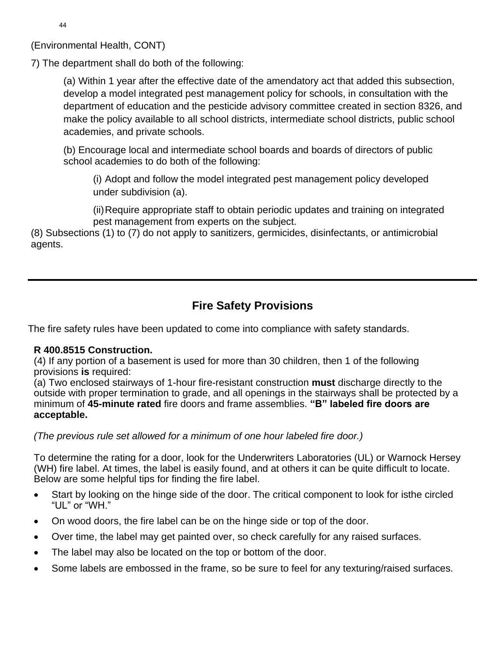(Environmental Health, CONT)

7) The department shall do both of the following:

(a) Within 1 year after the effective date of the amendatory act that added this subsection, develop a model integrated pest management policy for schools, in consultation with the department of education and the pesticide advisory committee created in section 8326, and make the policy available to all school districts, intermediate school districts, public school academies, and private schools.

(b) Encourage local and intermediate school boards and boards of directors of public school academies to do both of the following:

(i) Adopt and follow the model integrated pest management policy developed under subdivision (a).

(ii)Require appropriate staff to obtain periodic updates and training on integrated pest management from experts on the subject.

(8) Subsections (1) to (7) do not apply to sanitizers, germicides, disinfectants, or antimicrobial agents.

# **Fire Safety Provisions**

The fire safety rules have been updated to come into compliance with safety standards.

# **R 400.8515 Construction.**

(4) If any portion of a basement is used for more than 30 children, then 1 of the following provisions **is** required:

(a) Two enclosed stairways of 1-hour fire-resistant construction **must** discharge directly to the outside with proper termination to grade, and all openings in the stairways shall be protected by a minimum of **45-minute rated** fire doors and frame assemblies. **"B" labeled fire doors are acceptable.**

*(The previous rule set allowed for a minimum of one hour labeled fire door.)*

To determine the rating for a door, look for the Underwriters Laboratories (UL) or Warnock Hersey (WH) fire label. At times, the label is easily found, and at others it can be quite difficult to locate. Below are some helpful tips for finding the fire label.

- Start by looking on the hinge side of the door. The critical component to look for isthe circled "UL" or "WH."
- On wood doors, the fire label can be on the hinge side or top of the door.
- Over time, the label may get painted over, so check carefully for any raised surfaces.
- The label may also be located on the top or bottom of the door.
- Some labels are embossed in the frame, so be sure to feel for any texturing/raised surfaces.

44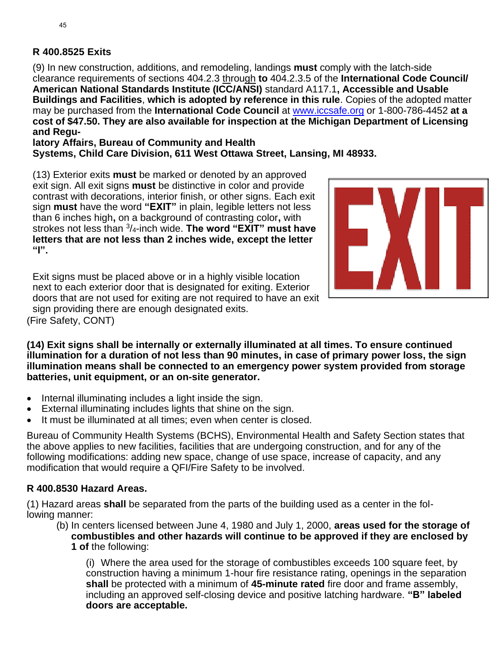### **R 400.8525 Exits**

(9) In new construction, additions, and remodeling, landings **must** comply with the latch-side clearance requirements of sections 404.2.3 through **to** 404.2.3.5 of the **International Code Council/ American National Standards Institute (ICC/ANSI)** standard A117.1**, Accessible and Usable Buildings and Facilities**, **which is adopted by reference in this rule**. Copies of the adopted matter may be purchased from the **International Code Council** at [www.iccsafe.org](http://www.iccsafe.org/) or 1-800-786-4452 **at a cost of \$47.50. They are also available for inspection at the Michigan Department of Licensing and Regu-**

**latory Affairs, Bureau of Community and Health Systems, Child Care Division, 611 West Ottawa Street, Lansing, MI 48933.**

(13) Exterior exits **must** be marked or denoted by an approved exit sign. All exit signs **must** be distinctive in color and provide contrast with decorations, interior finish, or other signs. Each exit sign **must** have the word **"EXIT"** in plain, legible letters not less than 6 inches high**,** on a background of contrasting color**,** with strokes not less than <sup>3</sup> /4-inch wide. **The word "EXIT" must have letters that are not less than 2 inches wide, except the letter "I".**

Exit signs must be placed above or in a highly visible location next to each exterior door that is designated for exiting. Exterior doors that are not used for exiting are not required to have an exit sign providing there are enough designated exits. (Fire Safety, CONT)



**(14) Exit signs shall be internally or externally illuminated at all times. To ensure continued illumination for a duration of not less than 90 minutes, in case of primary power loss, the sign illumination means shall be connected to an emergency power system provided from storage batteries, unit equipment, or an on-site generator.**

- Internal illuminating includes a light inside the sign.
- External illuminating includes lights that shine on the sign.
- It must be illuminated at all times; even when center is closed.

Bureau of Community Health Systems (BCHS), Environmental Health and Safety Section states that the above applies to new facilities, facilities that are undergoing construction, and for any of the following modifications: adding new space, change of use space, increase of capacity, and any modification that would require a QFI/Fire Safety to be involved.

# **R 400.8530 Hazard Areas.**

(1) Hazard areas **shall** be separated from the parts of the building used as a center in the following manner:

(b) In centers licensed between June 4, 1980 and July 1, 2000, **areas used for the storage of combustibles and other hazards will continue to be approved if they are enclosed by 1 of** the following:

(i) Where the area used for the storage of combustibles exceeds 100 square feet, by construction having a minimum 1-hour fire resistance rating, openings in the separation **shall** be protected with a minimum of **45-minute rated** fire door and frame assembly, including an approved self-closing device and positive latching hardware. **"B" labeled doors are acceptable.**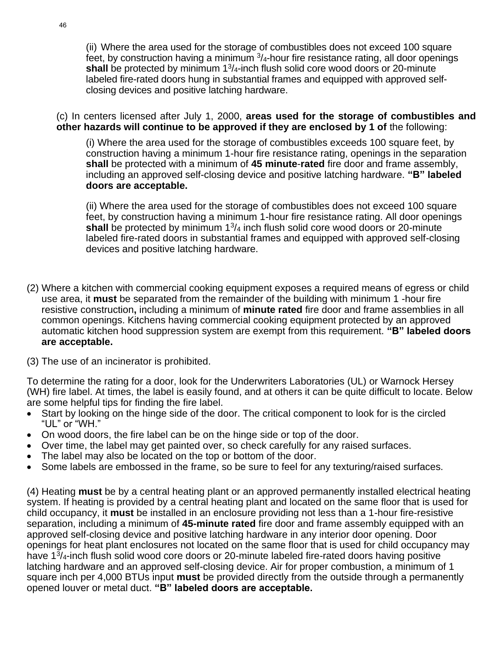(ii) Where the area used for the storage of combustibles does not exceed 100 square feet, by construction having a minimum  $\frac{3}{4}$ -hour fire resistance rating, all door openings shall be protected by minimum 1<sup>3</sup>/<sub>4</sub>-inch flush solid core wood doors or 20-minute labeled fire-rated doors hung in substantial frames and equipped with approved selfclosing devices and positive latching hardware.

(c) In centers licensed after July 1, 2000, **areas used for the storage of combustibles and other hazards will continue to be approved if they are enclosed by 1 of** the following:

(i) Where the area used for the storage of combustibles exceeds 100 square feet, by construction having a minimum 1-hour fire resistance rating, openings in the separation **shall** be protected with a minimum of **45 minute**-**rated** fire door and frame assembly, including an approved self-closing device and positive latching hardware. **"B" labeled doors are acceptable.**

(ii) Where the area used for the storage of combustibles does not exceed 100 square feet, by construction having a minimum 1-hour fire resistance rating. All door openings shall be protected by minimum 1<sup>3</sup>/<sub>4</sub> inch flush solid core wood doors or 20-minute labeled fire-rated doors in substantial frames and equipped with approved self-closing devices and positive latching hardware.

- (2) Where a kitchen with commercial cooking equipment exposes a required means of egress or child use area, it **must** be separated from the remainder of the building with minimum 1 -hour fire resistive construction**,** including a minimum of **minute rated** fire door and frame assemblies in all common openings. Kitchens having commercial cooking equipment protected by an approved automatic kitchen hood suppression system are exempt from this requirement. **"B" labeled doors are acceptable.**
- (3) The use of an incinerator is prohibited.

To determine the rating for a door, look for the Underwriters Laboratories (UL) or Warnock Hersey (WH) fire label. At times, the label is easily found, and at others it can be quite difficult to locate. Below are some helpful tips for finding the fire label.

- Start by looking on the hinge side of the door. The critical component to look for is the circled "UL" or "WH."
- On wood doors, the fire label can be on the hinge side or top of the door.
- Over time, the label may get painted over, so check carefully for any raised surfaces.
- The label may also be located on the top or bottom of the door.
- Some labels are embossed in the frame, so be sure to feel for any texturing/raised surfaces.

(4) Heating **must** be by a central heating plant or an approved permanently installed electrical heating system. If heating is provided by a central heating plant and located on the same floor that is used for child occupancy, it **must** be installed in an enclosure providing not less than a 1-hour fire-resistive separation, including a minimum of **45-minute rated** fire door and frame assembly equipped with an approved self-closing device and positive latching hardware in any interior door opening. Door openings for heat plant enclosures not located on the same floor that is used for child occupancy may have 1<sup>3</sup>/<sub>4</sub>-inch flush solid wood core doors or 20-minute labeled fire-rated doors having positive latching hardware and an approved self-closing device. Air for proper combustion, a minimum of 1 square inch per 4,000 BTUs input **must** be provided directly from the outside through a permanently opened louver or metal duct. **"B" labeled doors are acceptable.**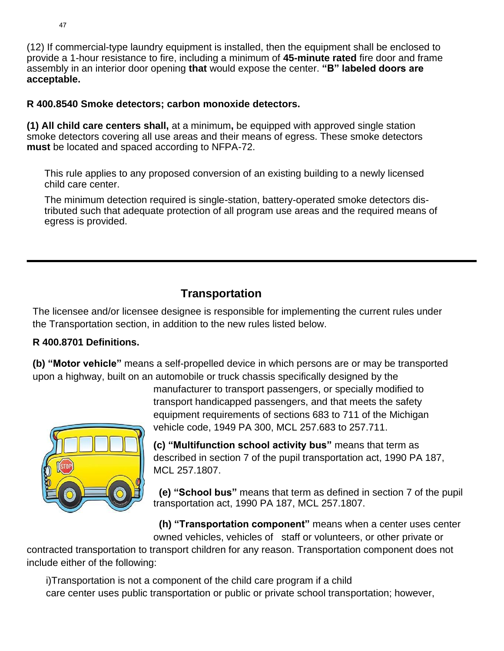(12) If commercial-type laundry equipment is installed, then the equipment shall be enclosed to provide a 1-hour resistance to fire, including a minimum of **45-minute rated** fire door and frame assembly in an interior door opening **that** would expose the center. **"B" labeled doors are acceptable.**

### **R 400.8540 Smoke detectors; carbon monoxide detectors.**

**(1) All child care centers shall,** at a minimum**,** be equipped with approved single station smoke detectors covering all use areas and their means of egress. These smoke detectors **must** be located and spaced according to NFPA-72.

This rule applies to any proposed conversion of an existing building to a newly licensed child care center.

The minimum detection required is single-station, battery-operated smoke detectors distributed such that adequate protection of all program use areas and the required means of egress is provided.

# **Transportation**

The licensee and/or licensee designee is responsible for implementing the current rules under the Transportation section, in addition to the new rules listed below.

# **R 400.8701 Definitions.**

**(b) "Motor vehicle"** means a self-propelled device in which persons are or may be transported upon a highway, built on an automobile or truck chassis specifically designed by the



manufacturer to transport passengers, or specially modified to transport handicapped passengers, and that meets the safety equipment requirements of sections 683 to 711 of the Michigan vehicle code, 1949 PA 300, MCL 257.683 to 257.711.

**(c) "Multifunction school activity bus"** means that term as described in section 7 of the pupil transportation act, 1990 PA 187, MCL 257.1807.

 **(e) "School bus"** means that term as defined in section 7 of the pupil transportation act, 1990 PA 187, MCL 257.1807.

 **(h) "Transportation component"** means when a center uses center owned vehicles, vehicles of staff or volunteers, or other private or

contracted transportation to transport children for any reason. Transportation component does not include either of the following:

 i)Transportation is not a component of the child care program if a child care center uses public transportation or public or private school transportation; however,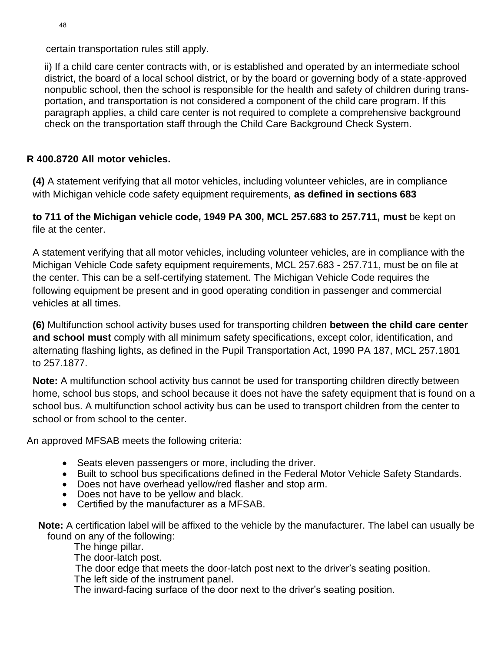certain transportation rules still apply.

ii) If a child care center contracts with, or is established and operated by an intermediate school district, the board of a local school district, or by the board or governing body of a state-approved nonpublic school, then the school is responsible for the health and safety of children during transportation, and transportation is not considered a component of the child care program. If this paragraph applies, a child care center is not required to complete a comprehensive background check on the transportation staff through the Child Care Background Check System.

# **R 400.8720 All motor vehicles.**

**(4)** A statement verifying that all motor vehicles, including volunteer vehicles, are in compliance with Michigan vehicle code safety equipment requirements, **as defined in sections 683**

# **to 711 of the Michigan vehicle code, 1949 PA 300, MCL 257.683 to 257.711, must** be kept on file at the center.

A statement verifying that all motor vehicles, including volunteer vehicles, are in compliance with the Michigan Vehicle Code safety equipment requirements, MCL 257.683 - 257.711, must be on file at the center. This can be a self-certifying statement. The Michigan Vehicle Code requires the following equipment be present and in good operating condition in passenger and commercial vehicles at all times.

**(6)** Multifunction school activity buses used for transporting children **between the child care center and school must** comply with all minimum safety specifications, except color, identification, and alternating flashing lights, as defined in the Pupil Transportation Act, 1990 PA 187, MCL 257.1801 to 257.1877.

**Note:** A multifunction school activity bus cannot be used for transporting children directly between home, school bus stops, and school because it does not have the safety equipment that is found on a school bus. A multifunction school activity bus can be used to transport children from the center to school or from school to the center.

An approved MFSAB meets the following criteria:

- Seats eleven passengers or more, including the driver.
- Built to school bus specifications defined in the Federal Motor Vehicle Safety Standards.
- Does not have overhead yellow/red flasher and stop arm.
- Does not have to be yellow and black.
- Certified by the manufacturer as a MFSAB.

 **Note:** A certification label will be affixed to the vehicle by the manufacturer. The label can usually be found on any of the following:

The hinge pillar.

The door-latch post.

The door edge that meets the door-latch post next to the driver's seating position.

The left side of the instrument panel.

The inward-facing surface of the door next to the driver's seating position.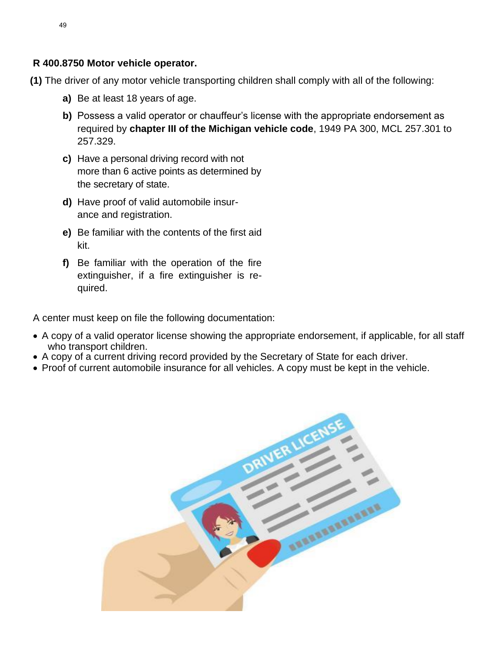### **R 400.8750 Motor vehicle operator.**

- **(1)** The driver of any motor vehicle transporting children shall comply with all of the following:
	- **a)** Be at least 18 years of age.
	- **b)** Possess a valid operator or chauffeur's license with the appropriate endorsement as required by **chapter III of the Michigan vehicle code**, 1949 PA 300, MCL 257.301 to 257.329.
	- **c)** Have a personal driving record with not more than 6 active points as determined by the secretary of state.
	- **d)** Have proof of valid automobile insurance and registration.
	- **e)** Be familiar with the contents of the first aid kit.
	- **f)** Be familiar with the operation of the fire extinguisher, if a fire extinguisher is required.

A center must keep on file the following documentation:

- A copy of a valid operator license showing the appropriate endorsement, if applicable, for all staff who transport children.
- A copy of a current driving record provided by the Secretary of State for each driver.
- Proof of current automobile insurance for all vehicles. A copy must be kept in the vehicle.